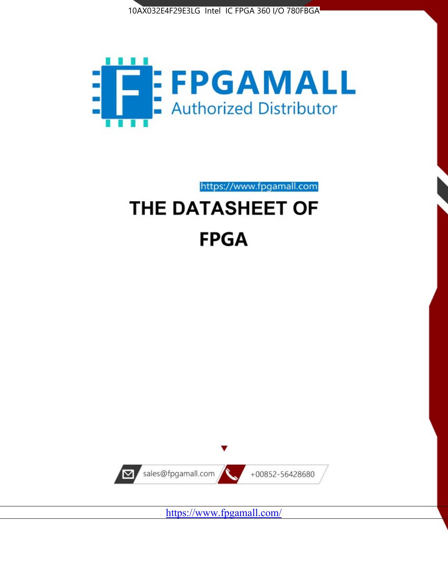



# https://www.fpgamall.com THE DATASHEET OF **FPGA**



<https://www.fpgamall.com/>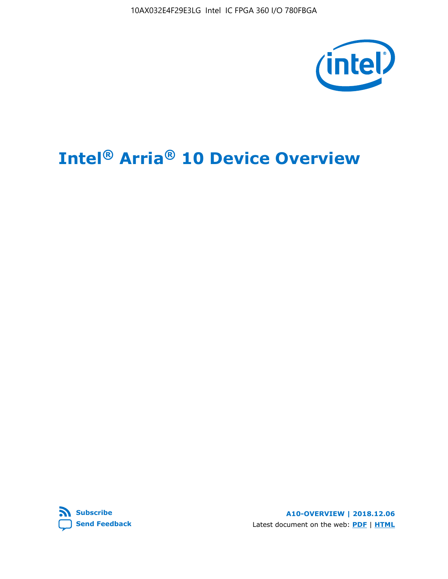10AX032E4F29E3LG Intel IC FPGA 360 I/O 780FBGA



# **Intel® Arria® 10 Device Overview**



**A10-OVERVIEW | 2018.12.06** Latest document on the web: **[PDF](https://www.intel.com/content/dam/www/programmable/us/en/pdfs/literature/hb/arria-10/a10_overview.pdf)** | **[HTML](https://www.intel.com/content/www/us/en/programmable/documentation/sam1403480274650.html)**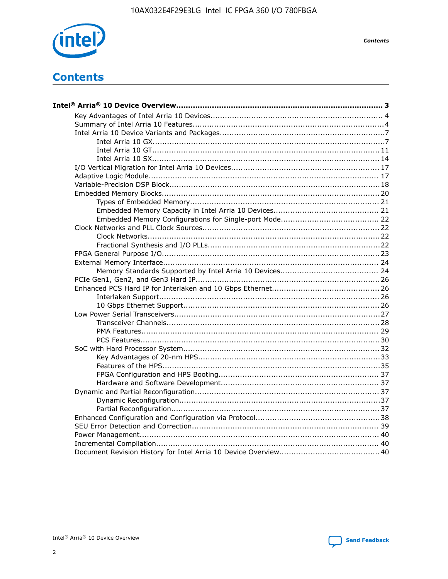

**Contents** 

# **Contents**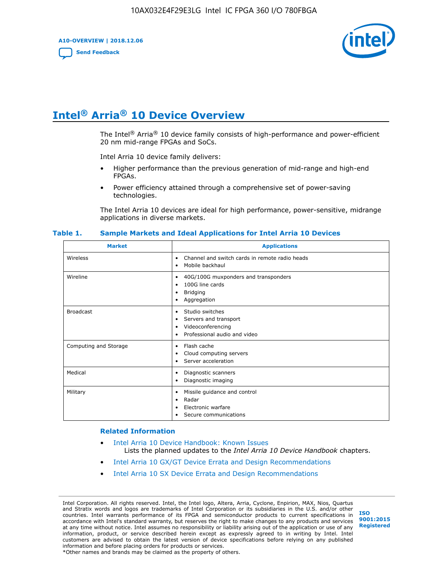**A10-OVERVIEW | 2018.12.06**

**[Send Feedback](mailto:FPGAtechdocfeedback@intel.com?subject=Feedback%20on%20Intel%20Arria%2010%20Device%20Overview%20(A10-OVERVIEW%202018.12.06)&body=We%20appreciate%20your%20feedback.%20In%20your%20comments,%20also%20specify%20the%20page%20number%20or%20paragraph.%20Thank%20you.)**



# **Intel® Arria® 10 Device Overview**

The Intel<sup>®</sup> Arria<sup>®</sup> 10 device family consists of high-performance and power-efficient 20 nm mid-range FPGAs and SoCs.

Intel Arria 10 device family delivers:

- Higher performance than the previous generation of mid-range and high-end FPGAs.
- Power efficiency attained through a comprehensive set of power-saving technologies.

The Intel Arria 10 devices are ideal for high performance, power-sensitive, midrange applications in diverse markets.

| <b>Market</b>         | <b>Applications</b>                                                                                               |
|-----------------------|-------------------------------------------------------------------------------------------------------------------|
| Wireless              | Channel and switch cards in remote radio heads<br>٠<br>Mobile backhaul<br>٠                                       |
| Wireline              | 40G/100G muxponders and transponders<br>٠<br>100G line cards<br>٠<br><b>Bridging</b><br>٠<br>Aggregation<br>٠     |
| <b>Broadcast</b>      | Studio switches<br>٠<br>Servers and transport<br>٠<br>Videoconferencing<br>٠<br>Professional audio and video<br>٠ |
| Computing and Storage | Flash cache<br>٠<br>Cloud computing servers<br>٠<br>Server acceleration<br>٠                                      |
| Medical               | Diagnostic scanners<br>٠<br>Diagnostic imaging<br>٠                                                               |
| Military              | Missile guidance and control<br>٠<br>Radar<br>٠<br>Electronic warfare<br>٠<br>Secure communications<br>٠          |

#### **Table 1. Sample Markets and Ideal Applications for Intel Arria 10 Devices**

#### **Related Information**

- [Intel Arria 10 Device Handbook: Known Issues](http://www.altera.com/support/kdb/solutions/rd07302013_646.html) Lists the planned updates to the *Intel Arria 10 Device Handbook* chapters.
- [Intel Arria 10 GX/GT Device Errata and Design Recommendations](https://www.intel.com/content/www/us/en/programmable/documentation/agz1493851706374.html#yqz1494433888646)
- [Intel Arria 10 SX Device Errata and Design Recommendations](https://www.intel.com/content/www/us/en/programmable/documentation/cru1462832385668.html#cru1462832558642)

Intel Corporation. All rights reserved. Intel, the Intel logo, Altera, Arria, Cyclone, Enpirion, MAX, Nios, Quartus and Stratix words and logos are trademarks of Intel Corporation or its subsidiaries in the U.S. and/or other countries. Intel warrants performance of its FPGA and semiconductor products to current specifications in accordance with Intel's standard warranty, but reserves the right to make changes to any products and services at any time without notice. Intel assumes no responsibility or liability arising out of the application or use of any information, product, or service described herein except as expressly agreed to in writing by Intel. Intel customers are advised to obtain the latest version of device specifications before relying on any published information and before placing orders for products or services. \*Other names and brands may be claimed as the property of others.

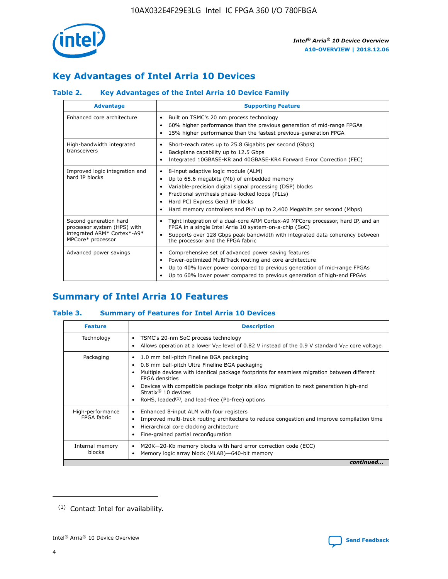

# **Key Advantages of Intel Arria 10 Devices**

# **Table 2. Key Advantages of the Intel Arria 10 Device Family**

| <b>Advantage</b>                                                                                          | <b>Supporting Feature</b>                                                                                                                                                                                                                                                                                                |
|-----------------------------------------------------------------------------------------------------------|--------------------------------------------------------------------------------------------------------------------------------------------------------------------------------------------------------------------------------------------------------------------------------------------------------------------------|
| Enhanced core architecture                                                                                | Built on TSMC's 20 nm process technology<br>٠<br>60% higher performance than the previous generation of mid-range FPGAs<br>٠<br>15% higher performance than the fastest previous-generation FPGA<br>٠                                                                                                                    |
| High-bandwidth integrated<br>transceivers                                                                 | Short-reach rates up to 25.8 Gigabits per second (Gbps)<br>٠<br>Backplane capability up to 12.5 Gbps<br>٠<br>Integrated 10GBASE-KR and 40GBASE-KR4 Forward Error Correction (FEC)<br>٠                                                                                                                                   |
| Improved logic integration and<br>hard IP blocks                                                          | 8-input adaptive logic module (ALM)<br>٠<br>Up to 65.6 megabits (Mb) of embedded memory<br>٠<br>Variable-precision digital signal processing (DSP) blocks<br>Fractional synthesis phase-locked loops (PLLs)<br>Hard PCI Express Gen3 IP blocks<br>Hard memory controllers and PHY up to 2,400 Megabits per second (Mbps) |
| Second generation hard<br>processor system (HPS) with<br>integrated ARM* Cortex*-A9*<br>MPCore* processor | Tight integration of a dual-core ARM Cortex-A9 MPCore processor, hard IP, and an<br>٠<br>FPGA in a single Intel Arria 10 system-on-a-chip (SoC)<br>Supports over 128 Gbps peak bandwidth with integrated data coherency between<br>$\bullet$<br>the processor and the FPGA fabric                                        |
| Advanced power savings                                                                                    | Comprehensive set of advanced power saving features<br>٠<br>Power-optimized MultiTrack routing and core architecture<br>٠<br>Up to 40% lower power compared to previous generation of mid-range FPGAs<br>٠<br>Up to 60% lower power compared to previous generation of high-end FPGAs<br>٠                               |

# **Summary of Intel Arria 10 Features**

## **Table 3. Summary of Features for Intel Arria 10 Devices**

| <b>Feature</b>                  | <b>Description</b>                                                                                                                                                                                                                                                                                                                                                                                       |
|---------------------------------|----------------------------------------------------------------------------------------------------------------------------------------------------------------------------------------------------------------------------------------------------------------------------------------------------------------------------------------------------------------------------------------------------------|
| Technology                      | TSMC's 20-nm SoC process technology<br>٠<br>Allows operation at a lower $V_{\text{CC}}$ level of 0.82 V instead of the 0.9 V standard $V_{\text{CC}}$ core voltage                                                                                                                                                                                                                                       |
| Packaging                       | 1.0 mm ball-pitch Fineline BGA packaging<br>0.8 mm ball-pitch Ultra Fineline BGA packaging<br>Multiple devices with identical package footprints for seamless migration between different<br><b>FPGA</b> densities<br>Devices with compatible package footprints allow migration to next generation high-end<br>Stratix $\mathcal{R}$ 10 devices<br>RoHS, leaded $(1)$ , and lead-free (Pb-free) options |
| High-performance<br>FPGA fabric | Enhanced 8-input ALM with four registers<br>٠<br>Improved multi-track routing architecture to reduce congestion and improve compilation time<br>Hierarchical core clocking architecture<br>Fine-grained partial reconfiguration                                                                                                                                                                          |
| Internal memory<br>blocks       | M20K-20-Kb memory blocks with hard error correction code (ECC)<br>Memory logic array block (MLAB)-640-bit memory                                                                                                                                                                                                                                                                                         |
|                                 | continued                                                                                                                                                                                                                                                                                                                                                                                                |



<sup>(1)</sup> Contact Intel for availability.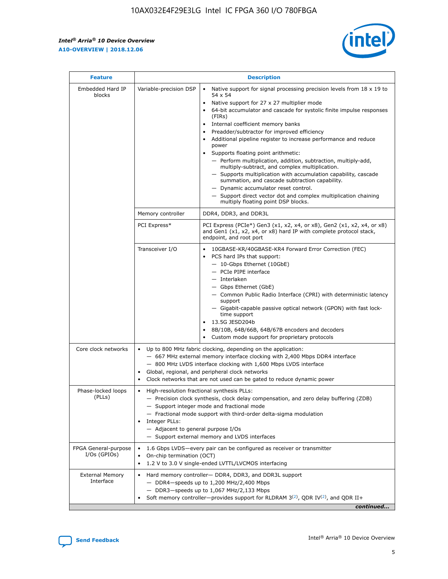$\mathsf{r}$ 



| <b>Feature</b>                         | <b>Description</b>                                                                                             |                                                                                                                                                                                                                                                                                                                                                                                                                                                                                                                                                                                                                                                                                                                                                                                                                                             |  |  |  |  |  |
|----------------------------------------|----------------------------------------------------------------------------------------------------------------|---------------------------------------------------------------------------------------------------------------------------------------------------------------------------------------------------------------------------------------------------------------------------------------------------------------------------------------------------------------------------------------------------------------------------------------------------------------------------------------------------------------------------------------------------------------------------------------------------------------------------------------------------------------------------------------------------------------------------------------------------------------------------------------------------------------------------------------------|--|--|--|--|--|
| Embedded Hard IP<br>blocks             | Variable-precision DSP                                                                                         | Native support for signal processing precision levels from $18 \times 19$ to<br>$\bullet$<br>54 x 54<br>Native support for 27 x 27 multiplier mode<br>64-bit accumulator and cascade for systolic finite impulse responses<br>(FIRS)<br>Internal coefficient memory banks<br>٠<br>Preadder/subtractor for improved efficiency<br>Additional pipeline register to increase performance and reduce<br>power<br>Supports floating point arithmetic:<br>- Perform multiplication, addition, subtraction, multiply-add,<br>multiply-subtract, and complex multiplication.<br>- Supports multiplication with accumulation capability, cascade<br>summation, and cascade subtraction capability.<br>- Dynamic accumulator reset control.<br>- Support direct vector dot and complex multiplication chaining<br>multiply floating point DSP blocks. |  |  |  |  |  |
|                                        | Memory controller                                                                                              | DDR4, DDR3, and DDR3L                                                                                                                                                                                                                                                                                                                                                                                                                                                                                                                                                                                                                                                                                                                                                                                                                       |  |  |  |  |  |
|                                        | PCI Express*                                                                                                   | PCI Express (PCIe*) Gen3 (x1, x2, x4, or x8), Gen2 (x1, x2, x4, or x8)<br>and Gen1 (x1, x2, x4, or x8) hard IP with complete protocol stack,<br>endpoint, and root port                                                                                                                                                                                                                                                                                                                                                                                                                                                                                                                                                                                                                                                                     |  |  |  |  |  |
|                                        | Transceiver I/O                                                                                                | 10GBASE-KR/40GBASE-KR4 Forward Error Correction (FEC)<br>PCS hard IPs that support:<br>- 10-Gbps Ethernet (10GbE)<br>- PCIe PIPE interface<br>- Interlaken<br>- Gbps Ethernet (GbE)<br>- Common Public Radio Interface (CPRI) with deterministic latency<br>support<br>- Gigabit-capable passive optical network (GPON) with fast lock-<br>time support<br>13.5G JESD204b<br>8B/10B, 64B/66B, 64B/67B encoders and decoders<br>Custom mode support for proprietary protocols                                                                                                                                                                                                                                                                                                                                                                |  |  |  |  |  |
| Core clock networks                    | $\bullet$                                                                                                      | Up to 800 MHz fabric clocking, depending on the application:<br>- 667 MHz external memory interface clocking with 2,400 Mbps DDR4 interface<br>- 800 MHz LVDS interface clocking with 1,600 Mbps LVDS interface<br>Global, regional, and peripheral clock networks<br>Clock networks that are not used can be gated to reduce dynamic power                                                                                                                                                                                                                                                                                                                                                                                                                                                                                                 |  |  |  |  |  |
| Phase-locked loops<br>(PLLs)           | High-resolution fractional synthesis PLLs:<br>$\bullet$<br>Integer PLLs:<br>- Adjacent to general purpose I/Os | - Precision clock synthesis, clock delay compensation, and zero delay buffering (ZDB)<br>- Support integer mode and fractional mode<br>- Fractional mode support with third-order delta-sigma modulation<br>- Support external memory and LVDS interfaces                                                                                                                                                                                                                                                                                                                                                                                                                                                                                                                                                                                   |  |  |  |  |  |
| FPGA General-purpose<br>$I/Os$ (GPIOs) | On-chip termination (OCT)<br>$\bullet$                                                                         | 1.6 Gbps LVDS-every pair can be configured as receiver or transmitter<br>1.2 V to 3.0 V single-ended LVTTL/LVCMOS interfacing                                                                                                                                                                                                                                                                                                                                                                                                                                                                                                                                                                                                                                                                                                               |  |  |  |  |  |
| <b>External Memory</b><br>Interface    |                                                                                                                | Hard memory controller- DDR4, DDR3, and DDR3L support<br>$-$ DDR4 $-$ speeds up to 1,200 MHz/2,400 Mbps<br>- DDR3-speeds up to 1,067 MHz/2,133 Mbps<br>Soft memory controller—provides support for RLDRAM $3^{(2)}$ , QDR IV $(2)$ , and QDR II+<br>continued                                                                                                                                                                                                                                                                                                                                                                                                                                                                                                                                                                               |  |  |  |  |  |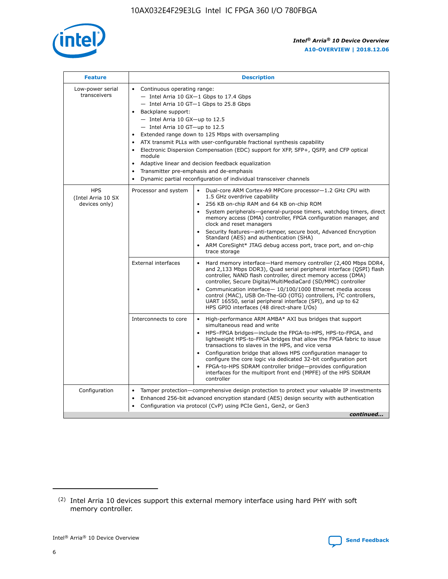

| <b>Feature</b>                                    | <b>Description</b>                                                                                                                                                                                                                                                                                                                                                                                                                                                                                                                                                                                                                                                 |
|---------------------------------------------------|--------------------------------------------------------------------------------------------------------------------------------------------------------------------------------------------------------------------------------------------------------------------------------------------------------------------------------------------------------------------------------------------------------------------------------------------------------------------------------------------------------------------------------------------------------------------------------------------------------------------------------------------------------------------|
| Low-power serial<br>transceivers                  | • Continuous operating range:<br>- Intel Arria 10 GX-1 Gbps to 17.4 Gbps<br>- Intel Arria 10 GT-1 Gbps to 25.8 Gbps<br>Backplane support:<br>$-$ Intel Arria 10 GX-up to 12.5<br>- Intel Arria 10 GT-up to 12.5<br>Extended range down to 125 Mbps with oversampling<br>ATX transmit PLLs with user-configurable fractional synthesis capability<br>$\bullet$<br>Electronic Dispersion Compensation (EDC) support for XFP, SFP+, OSFP, and CFP optical<br>module<br>Adaptive linear and decision feedback equalization<br>$\bullet$<br>Transmitter pre-emphasis and de-emphasis<br>$\bullet$<br>Dynamic partial reconfiguration of individual transceiver channels |
| <b>HPS</b><br>(Intel Arria 10 SX<br>devices only) | • Dual-core ARM Cortex-A9 MPCore processor-1.2 GHz CPU with<br>Processor and system<br>1.5 GHz overdrive capability<br>256 KB on-chip RAM and 64 KB on-chip ROM<br>$\bullet$<br>System peripherals—general-purpose timers, watchdog timers, direct<br>memory access (DMA) controller, FPGA configuration manager, and<br>clock and reset managers<br>Security features—anti-tamper, secure boot, Advanced Encryption<br>$\bullet$<br>Standard (AES) and authentication (SHA)<br>ARM CoreSight* JTAG debug access port, trace port, and on-chip<br>$\bullet$<br>trace storage                                                                                       |
|                                                   | <b>External interfaces</b><br>Hard memory interface-Hard memory controller (2,400 Mbps DDR4,<br>$\bullet$<br>and 2,133 Mbps DDR3), Quad serial peripheral interface (QSPI) flash<br>controller, NAND flash controller, direct memory access (DMA)<br>controller, Secure Digital/MultiMediaCard (SD/MMC) controller<br>Communication interface-10/100/1000 Ethernet media access<br>$\bullet$<br>control (MAC), USB On-The-GO (OTG) controllers, I <sup>2</sup> C controllers,<br>UART 16550, serial peripheral interface (SPI), and up to 62<br>HPS GPIO interfaces (48 direct-share I/Os)                                                                         |
|                                                   | Interconnects to core<br>High-performance ARM AMBA* AXI bus bridges that support<br>$\bullet$<br>simultaneous read and write<br>HPS-FPGA bridges-include the FPGA-to-HPS, HPS-to-FPGA, and<br>$\bullet$<br>lightweight HPS-to-FPGA bridges that allow the FPGA fabric to issue<br>transactions to slaves in the HPS, and vice versa<br>Configuration bridge that allows HPS configuration manager to<br>configure the core logic via dedicated 32-bit configuration port<br>FPGA-to-HPS SDRAM controller bridge-provides configuration<br>interfaces for the multiport front end (MPFE) of the HPS SDRAM<br>controller                                             |
| Configuration                                     | Tamper protection—comprehensive design protection to protect your valuable IP investments<br>Enhanced 256-bit advanced encryption standard (AES) design security with authentication<br>٠<br>Configuration via protocol (CvP) using PCIe Gen1, Gen2, or Gen3<br>continued                                                                                                                                                                                                                                                                                                                                                                                          |

<sup>(2)</sup> Intel Arria 10 devices support this external memory interface using hard PHY with soft memory controller.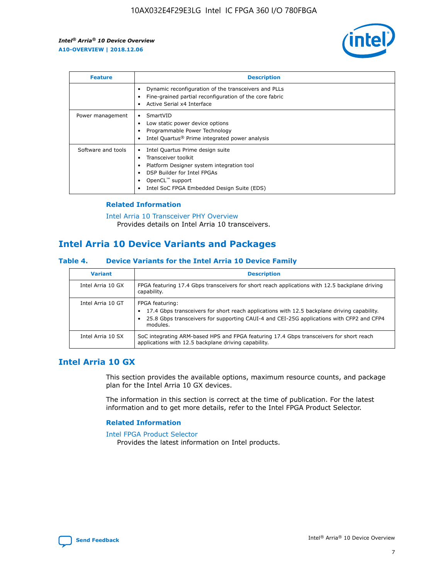

| <b>Feature</b>     | <b>Description</b>                                                                                                                                                                                                    |
|--------------------|-----------------------------------------------------------------------------------------------------------------------------------------------------------------------------------------------------------------------|
|                    | Dynamic reconfiguration of the transceivers and PLLs<br>Fine-grained partial reconfiguration of the core fabric<br>Active Serial x4 Interface<br>٠                                                                    |
| Power management   | SmartVID<br>Low static power device options<br>Programmable Power Technology<br>Intel Quartus <sup>®</sup> Prime integrated power analysis                                                                            |
| Software and tools | Intel Quartus Prime design suite<br>Transceiver toolkit<br>Platform Designer system integration tool<br>٠<br>DSP Builder for Intel FPGAs<br>OpenCL <sup>™</sup> support<br>Intel SoC FPGA Embedded Design Suite (EDS) |

## **Related Information**

[Intel Arria 10 Transceiver PHY Overview](https://www.intel.com/content/www/us/en/programmable/documentation/nik1398707230472.html#nik1398706768037) Provides details on Intel Arria 10 transceivers.

# **Intel Arria 10 Device Variants and Packages**

#### **Table 4. Device Variants for the Intel Arria 10 Device Family**

| <b>Variant</b>    | <b>Description</b>                                                                                                                                                                                                     |
|-------------------|------------------------------------------------------------------------------------------------------------------------------------------------------------------------------------------------------------------------|
| Intel Arria 10 GX | FPGA featuring 17.4 Gbps transceivers for short reach applications with 12.5 backplane driving<br>capability.                                                                                                          |
| Intel Arria 10 GT | FPGA featuring:<br>17.4 Gbps transceivers for short reach applications with 12.5 backplane driving capability.<br>25.8 Gbps transceivers for supporting CAUI-4 and CEI-25G applications with CFP2 and CFP4<br>modules. |
| Intel Arria 10 SX | SoC integrating ARM-based HPS and FPGA featuring 17.4 Gbps transceivers for short reach<br>applications with 12.5 backplane driving capability.                                                                        |

# **Intel Arria 10 GX**

This section provides the available options, maximum resource counts, and package plan for the Intel Arria 10 GX devices.

The information in this section is correct at the time of publication. For the latest information and to get more details, refer to the Intel FPGA Product Selector.

#### **Related Information**

#### [Intel FPGA Product Selector](http://www.altera.com/products/selector/psg-selector.html) Provides the latest information on Intel products.

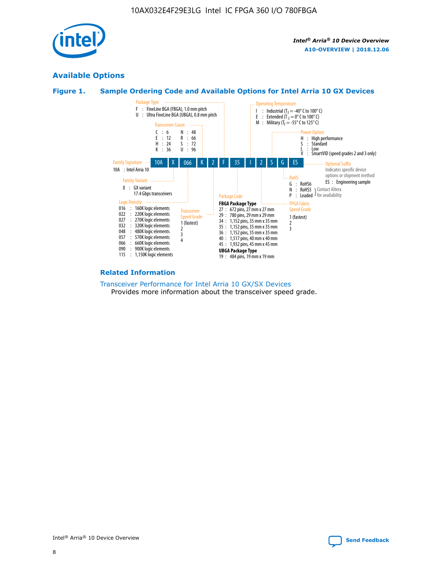

# **Available Options**





#### **Related Information**

[Transceiver Performance for Intel Arria 10 GX/SX Devices](https://www.intel.com/content/www/us/en/programmable/documentation/mcn1413182292568.html#mcn1413213965502) Provides more information about the transceiver speed grade.

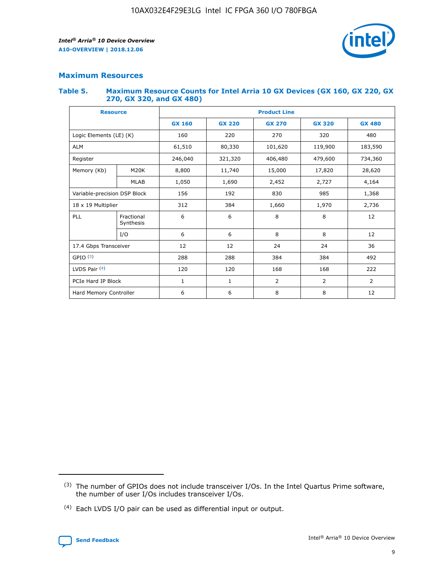

# **Maximum Resources**

#### **Table 5. Maximum Resource Counts for Intel Arria 10 GX Devices (GX 160, GX 220, GX 270, GX 320, and GX 480)**

| <b>Resource</b>              |                         | <b>Product Line</b> |                   |                |                |                |  |  |  |
|------------------------------|-------------------------|---------------------|-------------------|----------------|----------------|----------------|--|--|--|
|                              |                         | <b>GX 160</b>       | <b>GX 220</b>     | <b>GX 270</b>  | <b>GX 320</b>  | <b>GX 480</b>  |  |  |  |
| Logic Elements (LE) (K)      |                         | 160                 | 220               | 270            | 320            | 480            |  |  |  |
| <b>ALM</b>                   |                         | 61,510              | 80,330            | 101,620        | 119,900        | 183,590        |  |  |  |
| Register                     |                         | 246,040             | 321,320           | 406,480        |                | 734,360        |  |  |  |
| Memory (Kb)                  | M <sub>20</sub> K       | 8,800               | 11,740            | 15,000         | 17,820         | 28,620         |  |  |  |
| <b>MLAB</b>                  |                         | 1,050               | 1,690             | 2,452          | 2,727          | 4,164          |  |  |  |
| Variable-precision DSP Block |                         | 156                 | 192<br>830        |                | 985            | 1,368          |  |  |  |
| 18 x 19 Multiplier           |                         | 312                 | 384               | 1,970<br>1,660 |                | 2,736          |  |  |  |
| PLL                          | Fractional<br>Synthesis | 6                   | 6                 | 8              | 8              | 12             |  |  |  |
|                              | I/O                     | 6                   | 6                 | 8              | 8              | 12             |  |  |  |
| 17.4 Gbps Transceiver        |                         | 12                  | 12                | 24<br>24       |                | 36             |  |  |  |
| GPIO <sup>(3)</sup>          |                         | 288                 | 288<br>384<br>384 |                |                | 492            |  |  |  |
| LVDS Pair $(4)$              |                         | 120                 | 120               | 168            | 168            | 222            |  |  |  |
| PCIe Hard IP Block           |                         | 1                   | 1                 | 2              | $\overline{2}$ | $\overline{2}$ |  |  |  |
| Hard Memory Controller       |                         | 6                   | 6                 | 8              | 8              | 12             |  |  |  |

<sup>(4)</sup> Each LVDS I/O pair can be used as differential input or output.



<sup>(3)</sup> The number of GPIOs does not include transceiver I/Os. In the Intel Quartus Prime software, the number of user I/Os includes transceiver I/Os.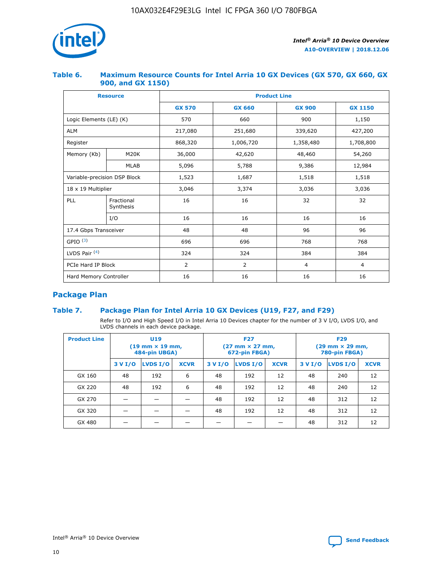

## **Table 6. Maximum Resource Counts for Intel Arria 10 GX Devices (GX 570, GX 660, GX 900, and GX 1150)**

|                              | <b>Resource</b>         | <b>Product Line</b> |                |                |                |  |  |  |
|------------------------------|-------------------------|---------------------|----------------|----------------|----------------|--|--|--|
|                              |                         | <b>GX 570</b>       | <b>GX 660</b>  | <b>GX 900</b>  | <b>GX 1150</b> |  |  |  |
| Logic Elements (LE) (K)      |                         | 570                 | 660            | 900            | 1,150          |  |  |  |
| <b>ALM</b>                   |                         | 217,080             | 251,680        | 339,620        | 427,200        |  |  |  |
| Register                     |                         | 868,320             | 1,006,720      | 1,358,480      | 1,708,800      |  |  |  |
| Memory (Kb)                  | <b>M20K</b>             | 36,000              | 42,620         | 48,460         | 54,260         |  |  |  |
| <b>MLAB</b>                  |                         | 5,096               | 5,788          | 9,386          | 12,984         |  |  |  |
| Variable-precision DSP Block |                         | 1,523               | 1,687          | 1,518          | 1,518          |  |  |  |
| $18 \times 19$ Multiplier    |                         | 3,046               | 3,374          | 3,036          | 3,036          |  |  |  |
| PLL                          | Fractional<br>Synthesis | 16                  | 16             | 32             | 32             |  |  |  |
|                              | I/O                     | 16                  | 16             | 16             | 16             |  |  |  |
| 17.4 Gbps Transceiver        |                         | 48                  | 48             | 96             | 96             |  |  |  |
| GPIO <sup>(3)</sup>          |                         | 696                 | 696            | 768            | 768            |  |  |  |
| LVDS Pair $(4)$              |                         | 324                 | 324            | 384            | 384            |  |  |  |
| PCIe Hard IP Block           |                         | $\overline{2}$      | $\overline{2}$ | $\overline{4}$ | $\overline{4}$ |  |  |  |
| Hard Memory Controller       |                         | 16                  | 16             | 16             | 16             |  |  |  |

# **Package Plan**

# **Table 7. Package Plan for Intel Arria 10 GX Devices (U19, F27, and F29)**

Refer to I/O and High Speed I/O in Intel Arria 10 Devices chapter for the number of 3 V I/O, LVDS I/O, and LVDS channels in each device package.

| <b>Product Line</b> | U <sub>19</sub><br>$(19 \text{ mm} \times 19 \text{ mm})$<br>484-pin UBGA) |          |             |         | <b>F27</b><br>(27 mm × 27 mm,<br>672-pin FBGA) |             | <b>F29</b><br>(29 mm × 29 mm,<br>780-pin FBGA) |          |             |  |
|---------------------|----------------------------------------------------------------------------|----------|-------------|---------|------------------------------------------------|-------------|------------------------------------------------|----------|-------------|--|
|                     | 3 V I/O                                                                    | LVDS I/O | <b>XCVR</b> | 3 V I/O | LVDS I/O                                       | <b>XCVR</b> | 3 V I/O                                        | LVDS I/O | <b>XCVR</b> |  |
| GX 160              | 48                                                                         | 192      | 6           | 48      | 192                                            | 12          | 48                                             | 240      | 12          |  |
| GX 220              | 48                                                                         | 192      | 6           | 48      | 192                                            | 12          | 48                                             | 240      | 12          |  |
| GX 270              |                                                                            |          |             | 48      | 192                                            | 12          | 48                                             | 312      | 12          |  |
| GX 320              |                                                                            |          |             | 48      | 192                                            | 12          | 48                                             | 312      | 12          |  |
| GX 480              |                                                                            |          |             |         |                                                |             | 48                                             | 312      | 12          |  |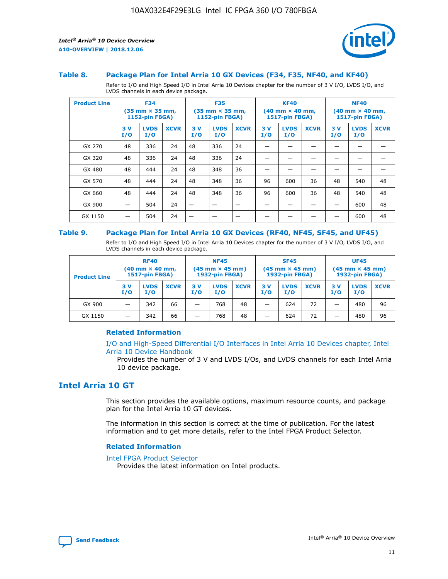

#### **Table 8. Package Plan for Intel Arria 10 GX Devices (F34, F35, NF40, and KF40)**

Refer to I/O and High Speed I/O in Intel Arria 10 Devices chapter for the number of 3 V I/O, LVDS I/O, and LVDS channels in each device package.

| <b>Product Line</b> | <b>F34</b><br>$(35 \text{ mm} \times 35 \text{ mm})$<br>1152-pin FBGA) |                    | <b>F35</b><br>$(35 \text{ mm} \times 35 \text{ mm})$<br><b>1152-pin FBGA)</b> |           | <b>KF40</b><br>$(40$ mm $\times$ 40 mm,<br>1517-pin FBGA) |             |           | <b>NF40</b><br>$(40$ mm $\times$ 40 mm,<br><b>1517-pin FBGA)</b> |             |            |                    |             |
|---------------------|------------------------------------------------------------------------|--------------------|-------------------------------------------------------------------------------|-----------|-----------------------------------------------------------|-------------|-----------|------------------------------------------------------------------|-------------|------------|--------------------|-------------|
|                     | 3V<br>I/O                                                              | <b>LVDS</b><br>I/O | <b>XCVR</b>                                                                   | 3V<br>I/O | <b>LVDS</b><br>I/O                                        | <b>XCVR</b> | 3V<br>I/O | <b>LVDS</b><br>I/O                                               | <b>XCVR</b> | 3 V<br>I/O | <b>LVDS</b><br>I/O | <b>XCVR</b> |
| GX 270              | 48                                                                     | 336                | 24                                                                            | 48        | 336                                                       | 24          |           |                                                                  |             |            |                    |             |
| GX 320              | 48                                                                     | 336                | 24                                                                            | 48        | 336                                                       | 24          |           |                                                                  |             |            |                    |             |
| GX 480              | 48                                                                     | 444                | 24                                                                            | 48        | 348                                                       | 36          |           |                                                                  |             |            |                    |             |
| GX 570              | 48                                                                     | 444                | 24                                                                            | 48        | 348                                                       | 36          | 96        | 600                                                              | 36          | 48         | 540                | 48          |
| GX 660              | 48                                                                     | 444                | 24                                                                            | 48        | 348                                                       | 36          | 96        | 600                                                              | 36          | 48         | 540                | 48          |
| GX 900              |                                                                        | 504                | 24                                                                            | -         |                                                           |             |           |                                                                  |             |            | 600                | 48          |
| GX 1150             |                                                                        | 504                | 24                                                                            |           |                                                           |             |           |                                                                  |             |            | 600                | 48          |

#### **Table 9. Package Plan for Intel Arria 10 GX Devices (RF40, NF45, SF45, and UF45)**

Refer to I/O and High Speed I/O in Intel Arria 10 Devices chapter for the number of 3 V I/O, LVDS I/O, and LVDS channels in each device package.

| <b>Product Line</b> | <b>RF40</b><br>$(40$ mm $\times$ 40 mm,<br>1517-pin FBGA) |                    |             | <b>NF45</b><br>$(45 \text{ mm} \times 45 \text{ mm})$<br><b>1932-pin FBGA)</b> |                    |             | <b>SF45</b><br>$(45 \text{ mm} \times 45 \text{ mm})$<br><b>1932-pin FBGA)</b> |                    |             | <b>UF45</b><br>$(45 \text{ mm} \times 45 \text{ mm})$<br><b>1932-pin FBGA)</b> |                    |             |
|---------------------|-----------------------------------------------------------|--------------------|-------------|--------------------------------------------------------------------------------|--------------------|-------------|--------------------------------------------------------------------------------|--------------------|-------------|--------------------------------------------------------------------------------|--------------------|-------------|
|                     | 3V<br>I/O                                                 | <b>LVDS</b><br>I/O | <b>XCVR</b> | 3 V<br>I/O                                                                     | <b>LVDS</b><br>I/O | <b>XCVR</b> | 3 V<br>I/O                                                                     | <b>LVDS</b><br>I/O | <b>XCVR</b> | 3V<br>I/O                                                                      | <b>LVDS</b><br>I/O | <b>XCVR</b> |
| GX 900              |                                                           | 342                | 66          | _                                                                              | 768                | 48          |                                                                                | 624                | 72          |                                                                                | 480                | 96          |
| GX 1150             |                                                           | 342                | 66          | _                                                                              | 768                | 48          |                                                                                | 624                | 72          |                                                                                | 480                | 96          |

## **Related Information**

[I/O and High-Speed Differential I/O Interfaces in Intel Arria 10 Devices chapter, Intel](https://www.intel.com/content/www/us/en/programmable/documentation/sam1403482614086.html#sam1403482030321) [Arria 10 Device Handbook](https://www.intel.com/content/www/us/en/programmable/documentation/sam1403482614086.html#sam1403482030321)

Provides the number of 3 V and LVDS I/Os, and LVDS channels for each Intel Arria 10 device package.

# **Intel Arria 10 GT**

This section provides the available options, maximum resource counts, and package plan for the Intel Arria 10 GT devices.

The information in this section is correct at the time of publication. For the latest information and to get more details, refer to the Intel FPGA Product Selector.

#### **Related Information**

#### [Intel FPGA Product Selector](http://www.altera.com/products/selector/psg-selector.html)

Provides the latest information on Intel products.

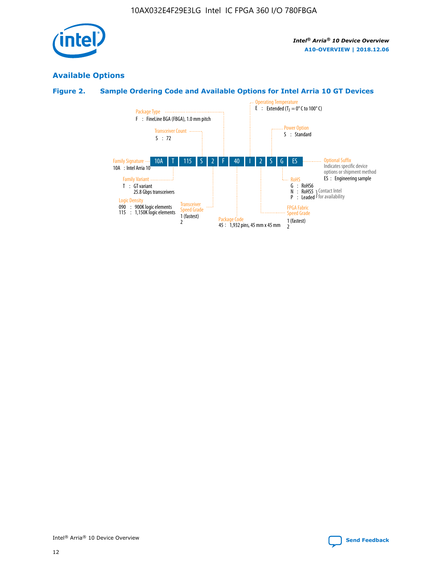

# **Available Options**

# **Figure 2. Sample Ordering Code and Available Options for Intel Arria 10 GT Devices**

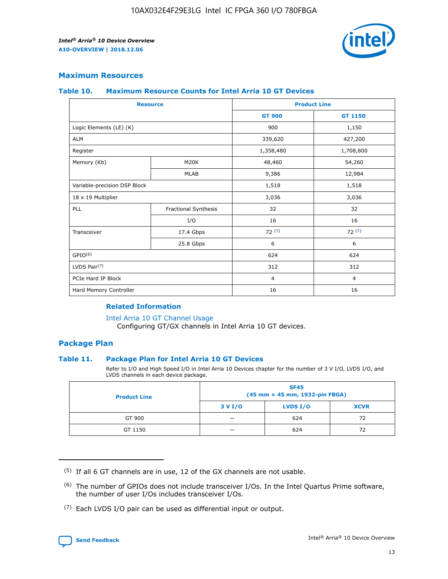

## **Maximum Resources**

#### **Table 10. Maximum Resource Counts for Intel Arria 10 GT Devices**

|                              | <b>Resource</b>      | <b>Product Line</b> |                |  |
|------------------------------|----------------------|---------------------|----------------|--|
|                              |                      | <b>GT 900</b>       | GT 1150        |  |
| Logic Elements (LE) (K)      |                      | 900                 | 1,150          |  |
| <b>ALM</b>                   |                      | 339,620             | 427,200        |  |
| Register                     |                      | 1,358,480           | 1,708,800      |  |
| Memory (Kb)                  | M20K                 | 48,460              | 54,260         |  |
|                              | <b>MLAB</b>          | 9,386               | 12,984         |  |
| Variable-precision DSP Block |                      | 1,518               | 1,518          |  |
| 18 x 19 Multiplier           |                      | 3,036               | 3,036          |  |
| <b>PLL</b>                   | Fractional Synthesis | 32                  | 32             |  |
|                              | I/O                  | 16                  | 16             |  |
| Transceiver                  | 17.4 Gbps            | 72(5)               | 72(5)          |  |
|                              | 25.8 Gbps            | 6                   | 6              |  |
| GPIO <sup>(6)</sup>          |                      | 624                 | 624            |  |
| LVDS Pair $(7)$              |                      | 312                 | 312            |  |
| PCIe Hard IP Block           |                      | $\overline{4}$      | $\overline{4}$ |  |
| Hard Memory Controller       |                      | 16                  | 16             |  |

## **Related Information**

#### [Intel Arria 10 GT Channel Usage](https://www.intel.com/content/www/us/en/programmable/documentation/nik1398707230472.html#nik1398707008178)

Configuring GT/GX channels in Intel Arria 10 GT devices.

## **Package Plan**

## **Table 11. Package Plan for Intel Arria 10 GT Devices**

Refer to I/O and High Speed I/O in Intel Arria 10 Devices chapter for the number of 3 V I/O, LVDS I/O, and LVDS channels in each device package.

| <b>Product Line</b> | <b>SF45</b><br>(45 mm × 45 mm, 1932-pin FBGA) |                 |             |  |  |  |
|---------------------|-----------------------------------------------|-----------------|-------------|--|--|--|
|                     | 3 V I/O                                       | <b>LVDS I/O</b> | <b>XCVR</b> |  |  |  |
| GT 900              |                                               | 624             | 72          |  |  |  |
| GT 1150             |                                               | 624             | 72          |  |  |  |

<sup>(7)</sup> Each LVDS I/O pair can be used as differential input or output.



 $(5)$  If all 6 GT channels are in use, 12 of the GX channels are not usable.

<sup>(6)</sup> The number of GPIOs does not include transceiver I/Os. In the Intel Quartus Prime software, the number of user I/Os includes transceiver I/Os.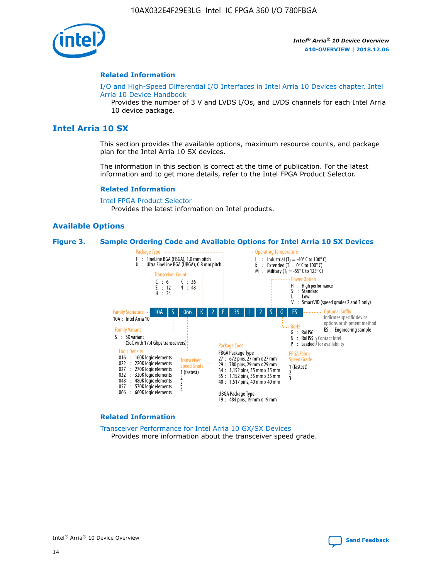

#### **Related Information**

[I/O and High-Speed Differential I/O Interfaces in Intel Arria 10 Devices chapter, Intel](https://www.intel.com/content/www/us/en/programmable/documentation/sam1403482614086.html#sam1403482030321) [Arria 10 Device Handbook](https://www.intel.com/content/www/us/en/programmable/documentation/sam1403482614086.html#sam1403482030321)

Provides the number of 3 V and LVDS I/Os, and LVDS channels for each Intel Arria 10 device package.

# **Intel Arria 10 SX**

This section provides the available options, maximum resource counts, and package plan for the Intel Arria 10 SX devices.

The information in this section is correct at the time of publication. For the latest information and to get more details, refer to the Intel FPGA Product Selector.

#### **Related Information**

[Intel FPGA Product Selector](http://www.altera.com/products/selector/psg-selector.html) Provides the latest information on Intel products.

## **Available Options**

#### **Figure 3. Sample Ordering Code and Available Options for Intel Arria 10 SX Devices**



#### **Related Information**

[Transceiver Performance for Intel Arria 10 GX/SX Devices](https://www.intel.com/content/www/us/en/programmable/documentation/mcn1413182292568.html#mcn1413213965502) Provides more information about the transceiver speed grade.

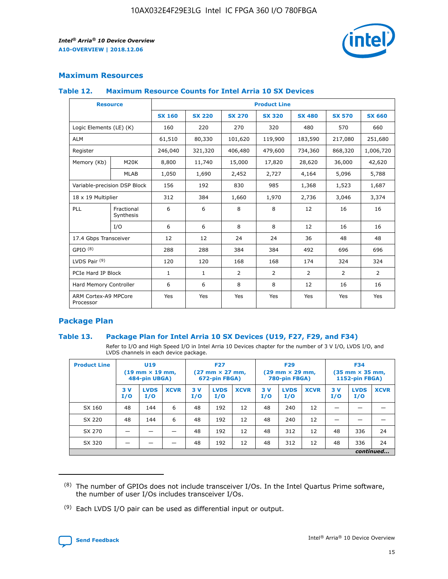

# **Maximum Resources**

#### **Table 12. Maximum Resource Counts for Intel Arria 10 SX Devices**

|                                   | <b>Resource</b>         | <b>Product Line</b> |               |                |                |                |                |                |  |  |  |
|-----------------------------------|-------------------------|---------------------|---------------|----------------|----------------|----------------|----------------|----------------|--|--|--|
|                                   |                         | <b>SX 160</b>       | <b>SX 220</b> | <b>SX 270</b>  | <b>SX 320</b>  | <b>SX 480</b>  | <b>SX 570</b>  | <b>SX 660</b>  |  |  |  |
| Logic Elements (LE) (K)           |                         | 160                 | 220           | 270            | 320            | 480            | 570            | 660            |  |  |  |
| <b>ALM</b>                        |                         | 61,510              | 80,330        | 101,620        | 119,900        | 183,590        | 217,080        | 251,680        |  |  |  |
| Register                          |                         | 246,040             | 321,320       | 406,480        | 479,600        | 734,360        | 868,320        | 1,006,720      |  |  |  |
| Memory (Kb)                       | M <sub>20</sub> K       | 8,800               | 11,740        | 15,000         | 17,820         | 28,620         | 36,000         | 42,620         |  |  |  |
|                                   | <b>MLAB</b>             | 1,050               | 1,690         | 2,452          | 2,727          | 4,164          | 5,096          | 5,788          |  |  |  |
| Variable-precision DSP Block      |                         | 156                 | 192           | 830            | 985            | 1,368          | 1,523          | 1,687          |  |  |  |
| 18 x 19 Multiplier                |                         | 312                 | 384           | 1,660          | 1,970          | 2,736          | 3,046          | 3,374          |  |  |  |
| <b>PLL</b>                        | Fractional<br>Synthesis | 6                   | 6             | 8              | 8              | 12             | 16             | 16             |  |  |  |
|                                   | I/O                     | 6                   | 6             | 8              | 8              | 12             | 16             | 16             |  |  |  |
| 17.4 Gbps Transceiver             |                         | 12                  | 12            | 24             | 24             | 36             | 48             | 48             |  |  |  |
| GPIO <sup>(8)</sup>               |                         | 288                 | 288           | 384            | 384            | 492            | 696            | 696            |  |  |  |
| LVDS Pair $(9)$                   |                         | 120                 | 120           | 168            | 168            | 174            | 324            | 324            |  |  |  |
| PCIe Hard IP Block                |                         | $\mathbf{1}$        | $\mathbf{1}$  | $\overline{2}$ | $\overline{2}$ | $\overline{2}$ | $\overline{2}$ | $\overline{2}$ |  |  |  |
| Hard Memory Controller            |                         | 6                   | 6             | 8              | 8              | 12             | 16             | 16             |  |  |  |
| ARM Cortex-A9 MPCore<br>Processor |                         | Yes                 | Yes           | Yes            | Yes            | Yes            | Yes            | Yes            |  |  |  |

# **Package Plan**

## **Table 13. Package Plan for Intel Arria 10 SX Devices (U19, F27, F29, and F34)**

Refer to I/O and High Speed I/O in Intel Arria 10 Devices chapter for the number of 3 V I/O, LVDS I/O, and LVDS channels in each device package.

| <b>Product Line</b> | <b>U19</b><br>$(19 \text{ mm} \times 19 \text{ mm})$<br>484-pin UBGA) |                    |             | <b>F27</b><br>$(27 \text{ mm} \times 27 \text{ mm})$<br>672-pin FBGA) |                    | <b>F29</b><br>$(29 \text{ mm} \times 29 \text{ mm})$<br>780-pin FBGA) |           |                    | <b>F34</b><br>$(35 \text{ mm} \times 35 \text{ mm})$<br><b>1152-pin FBGA)</b> |           |                    |             |
|---------------------|-----------------------------------------------------------------------|--------------------|-------------|-----------------------------------------------------------------------|--------------------|-----------------------------------------------------------------------|-----------|--------------------|-------------------------------------------------------------------------------|-----------|--------------------|-------------|
|                     | 3V<br>I/O                                                             | <b>LVDS</b><br>I/O | <b>XCVR</b> | 3V<br>I/O                                                             | <b>LVDS</b><br>I/O | <b>XCVR</b>                                                           | 3V<br>I/O | <b>LVDS</b><br>I/O | <b>XCVR</b>                                                                   | 3V<br>I/O | <b>LVDS</b><br>I/O | <b>XCVR</b> |
| SX 160              | 48                                                                    | 144                | 6           | 48                                                                    | 192                | 12                                                                    | 48        | 240                | 12                                                                            | -         |                    |             |
| SX 220              | 48                                                                    | 144                | 6           | 48                                                                    | 192                | 12                                                                    | 48        | 240                | 12                                                                            |           |                    |             |
| SX 270              |                                                                       |                    |             | 48                                                                    | 192                | 12                                                                    | 48        | 312                | 12                                                                            | 48        | 336                | 24          |
| SX 320              |                                                                       |                    |             | 48                                                                    | 192                | 12                                                                    | 48        | 312                | 12                                                                            | 48        | 336                | 24          |
|                     | continued                                                             |                    |             |                                                                       |                    |                                                                       |           |                    |                                                                               |           |                    |             |

 $(8)$  The number of GPIOs does not include transceiver I/Os. In the Intel Quartus Prime software, the number of user I/Os includes transceiver I/Os.

 $(9)$  Each LVDS I/O pair can be used as differential input or output.

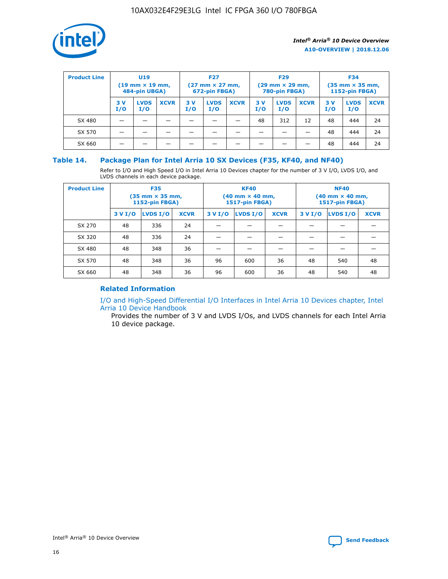

| <b>Product Line</b> | <b>U19</b><br>$(19 \text{ mm} \times 19 \text{ mm})$<br>484-pin UBGA) |                    | <b>F27</b><br>$(27 \text{ mm} \times 27 \text{ mm})$<br>672-pin FBGA) |           | <b>F29</b><br>$(29$ mm $\times$ 29 mm,<br>780-pin FBGA) |             |           | <b>F34</b><br>$(35$ mm $\times$ 35 mm,<br><b>1152-pin FBGA)</b> |             |           |                    |             |
|---------------------|-----------------------------------------------------------------------|--------------------|-----------------------------------------------------------------------|-----------|---------------------------------------------------------|-------------|-----------|-----------------------------------------------------------------|-------------|-----------|--------------------|-------------|
|                     | 3 V<br>I/O                                                            | <b>LVDS</b><br>I/O | <b>XCVR</b>                                                           | 3V<br>I/O | <b>LVDS</b><br>I/O                                      | <b>XCVR</b> | 3V<br>I/O | <b>LVDS</b><br>I/O                                              | <b>XCVR</b> | 3V<br>I/O | <b>LVDS</b><br>I/O | <b>XCVR</b> |
| SX 480              |                                                                       |                    |                                                                       |           |                                                         |             | 48        | 312                                                             | 12          | 48        | 444                | 24          |
| SX 570              |                                                                       |                    |                                                                       |           |                                                         |             |           |                                                                 |             | 48        | 444                | 24          |
| SX 660              |                                                                       |                    |                                                                       |           |                                                         |             |           |                                                                 |             | 48        | 444                | 24          |

## **Table 14. Package Plan for Intel Arria 10 SX Devices (F35, KF40, and NF40)**

Refer to I/O and High Speed I/O in Intel Arria 10 Devices chapter for the number of 3 V I/O, LVDS I/O, and LVDS channels in each device package.

| <b>Product Line</b> | <b>F35</b><br>(35 mm × 35 mm,<br><b>1152-pin FBGA)</b> |          |             |                                           | <b>KF40</b><br>(40 mm × 40 mm,<br>1517-pin FBGA) |    | <b>NF40</b><br>$(40 \text{ mm} \times 40 \text{ mm})$<br>1517-pin FBGA) |          |             |  |
|---------------------|--------------------------------------------------------|----------|-------------|-------------------------------------------|--------------------------------------------------|----|-------------------------------------------------------------------------|----------|-------------|--|
|                     | 3 V I/O                                                | LVDS I/O | <b>XCVR</b> | <b>LVDS I/O</b><br>3 V I/O<br><b>XCVR</b> |                                                  |    | 3 V I/O                                                                 | LVDS I/O | <b>XCVR</b> |  |
| SX 270              | 48                                                     | 336      | 24          |                                           |                                                  |    |                                                                         |          |             |  |
| SX 320              | 48                                                     | 336      | 24          |                                           |                                                  |    |                                                                         |          |             |  |
| SX 480              | 48                                                     | 348      | 36          |                                           |                                                  |    |                                                                         |          |             |  |
| SX 570              | 48                                                     | 348      | 36          | 96<br>36<br>600                           |                                                  |    | 48                                                                      | 540      | 48          |  |
| SX 660              | 48                                                     | 348      | 36          | 96                                        | 600                                              | 36 | 48                                                                      | 540      | 48          |  |

# **Related Information**

[I/O and High-Speed Differential I/O Interfaces in Intel Arria 10 Devices chapter, Intel](https://www.intel.com/content/www/us/en/programmable/documentation/sam1403482614086.html#sam1403482030321) [Arria 10 Device Handbook](https://www.intel.com/content/www/us/en/programmable/documentation/sam1403482614086.html#sam1403482030321)

Provides the number of 3 V and LVDS I/Os, and LVDS channels for each Intel Arria 10 device package.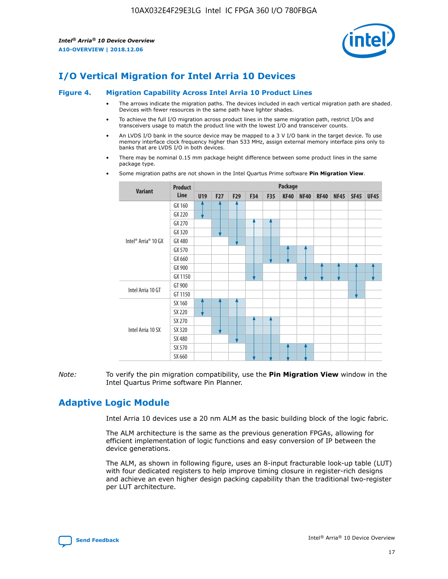

# **I/O Vertical Migration for Intel Arria 10 Devices**

#### **Figure 4. Migration Capability Across Intel Arria 10 Product Lines**

- The arrows indicate the migration paths. The devices included in each vertical migration path are shaded. Devices with fewer resources in the same path have lighter shades.
- To achieve the full I/O migration across product lines in the same migration path, restrict I/Os and transceivers usage to match the product line with the lowest I/O and transceiver counts.
- An LVDS I/O bank in the source device may be mapped to a 3 V I/O bank in the target device. To use memory interface clock frequency higher than 533 MHz, assign external memory interface pins only to banks that are LVDS I/O in both devices.
- There may be nominal 0.15 mm package height difference between some product lines in the same package type.
	- **Variant Product Line Package U19 F27 F29 F34 F35 KF40 NF40 RF40 NF45 SF45 UF45** Intel® Arria® 10 GX GX 160 GX 220 GX 270 GX 320 GX 480 GX 570 GX 660 GX 900 GX 1150 Intel Arria 10 GT GT 900 GT 1150 Intel Arria 10 SX SX 160 SX 220 SX 270 SX 320 SX 480 SX 570 SX 660
- Some migration paths are not shown in the Intel Quartus Prime software **Pin Migration View**.

*Note:* To verify the pin migration compatibility, use the **Pin Migration View** window in the Intel Quartus Prime software Pin Planner.

# **Adaptive Logic Module**

Intel Arria 10 devices use a 20 nm ALM as the basic building block of the logic fabric.

The ALM architecture is the same as the previous generation FPGAs, allowing for efficient implementation of logic functions and easy conversion of IP between the device generations.

The ALM, as shown in following figure, uses an 8-input fracturable look-up table (LUT) with four dedicated registers to help improve timing closure in register-rich designs and achieve an even higher design packing capability than the traditional two-register per LUT architecture.

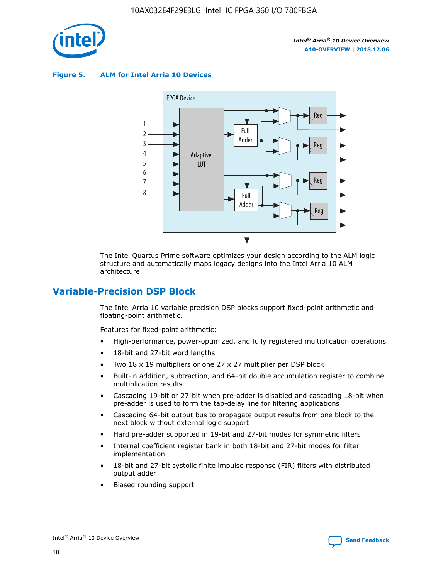

**Figure 5. ALM for Intel Arria 10 Devices**



The Intel Quartus Prime software optimizes your design according to the ALM logic structure and automatically maps legacy designs into the Intel Arria 10 ALM architecture.

# **Variable-Precision DSP Block**

The Intel Arria 10 variable precision DSP blocks support fixed-point arithmetic and floating-point arithmetic.

Features for fixed-point arithmetic:

- High-performance, power-optimized, and fully registered multiplication operations
- 18-bit and 27-bit word lengths
- Two 18 x 19 multipliers or one 27 x 27 multiplier per DSP block
- Built-in addition, subtraction, and 64-bit double accumulation register to combine multiplication results
- Cascading 19-bit or 27-bit when pre-adder is disabled and cascading 18-bit when pre-adder is used to form the tap-delay line for filtering applications
- Cascading 64-bit output bus to propagate output results from one block to the next block without external logic support
- Hard pre-adder supported in 19-bit and 27-bit modes for symmetric filters
- Internal coefficient register bank in both 18-bit and 27-bit modes for filter implementation
- 18-bit and 27-bit systolic finite impulse response (FIR) filters with distributed output adder
- Biased rounding support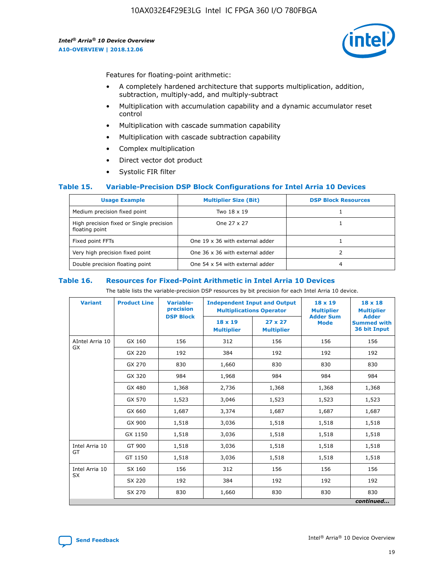

Features for floating-point arithmetic:

- A completely hardened architecture that supports multiplication, addition, subtraction, multiply-add, and multiply-subtract
- Multiplication with accumulation capability and a dynamic accumulator reset control
- Multiplication with cascade summation capability
- Multiplication with cascade subtraction capability
- Complex multiplication
- Direct vector dot product
- Systolic FIR filter

## **Table 15. Variable-Precision DSP Block Configurations for Intel Arria 10 Devices**

| <b>Usage Example</b>                                       | <b>Multiplier Size (Bit)</b>    | <b>DSP Block Resources</b> |
|------------------------------------------------------------|---------------------------------|----------------------------|
| Medium precision fixed point                               | Two 18 x 19                     |                            |
| High precision fixed or Single precision<br>floating point | One 27 x 27                     |                            |
| Fixed point FFTs                                           | One 19 x 36 with external adder |                            |
| Very high precision fixed point                            | One 36 x 36 with external adder |                            |
| Double precision floating point                            | One 54 x 54 with external adder | 4                          |

#### **Table 16. Resources for Fixed-Point Arithmetic in Intel Arria 10 Devices**

The table lists the variable-precision DSP resources by bit precision for each Intel Arria 10 device.

| <b>Variant</b>  | <b>Product Line</b> | <b>Variable-</b><br>precision<br><b>DSP Block</b> | <b>Independent Input and Output</b><br><b>Multiplications Operator</b> |                                     | 18 x 19<br><b>Multiplier</b><br><b>Adder Sum</b> | $18 \times 18$<br><b>Multiplier</b><br><b>Adder</b> |
|-----------------|---------------------|---------------------------------------------------|------------------------------------------------------------------------|-------------------------------------|--------------------------------------------------|-----------------------------------------------------|
|                 |                     |                                                   | 18 x 19<br><b>Multiplier</b>                                           | $27 \times 27$<br><b>Multiplier</b> | <b>Mode</b>                                      | <b>Summed with</b><br>36 bit Input                  |
| AIntel Arria 10 | GX 160              | 156                                               | 312                                                                    | 156                                 | 156                                              | 156                                                 |
| GX              | GX 220              | 192                                               | 384                                                                    | 192                                 | 192                                              | 192                                                 |
|                 | GX 270              | 830                                               | 1,660                                                                  | 830                                 | 830                                              | 830                                                 |
|                 | GX 320              | 984                                               | 1,968                                                                  | 984                                 | 984                                              | 984                                                 |
|                 | GX 480              | 1,368                                             | 2,736                                                                  | 1,368                               | 1,368                                            | 1,368                                               |
|                 | GX 570              | 1,523                                             | 3,046                                                                  | 1,523                               | 1,523                                            | 1,523                                               |
|                 | GX 660              | 1,687                                             | 3,374                                                                  | 1,687                               | 1,687                                            | 1,687                                               |
|                 | GX 900              | 1,518                                             | 3,036                                                                  | 1,518                               | 1,518                                            | 1,518                                               |
|                 | GX 1150             | 1,518                                             | 3,036                                                                  | 1,518                               | 1,518                                            | 1,518                                               |
| Intel Arria 10  | GT 900              | 1,518                                             | 3,036                                                                  | 1,518                               | 1,518                                            | 1,518                                               |
| GT              | GT 1150             | 1,518                                             | 3,036                                                                  | 1,518                               | 1,518                                            | 1,518                                               |
| Intel Arria 10  | SX 160              | 156                                               | 312                                                                    | 156                                 | 156                                              | 156                                                 |
| <b>SX</b>       | SX 220<br>192       |                                                   | 384                                                                    | 192                                 | 192                                              | 192                                                 |
|                 | SX 270              | 830                                               | 830<br>1,660                                                           |                                     | 830                                              | 830                                                 |
|                 |                     |                                                   |                                                                        |                                     |                                                  | continued                                           |

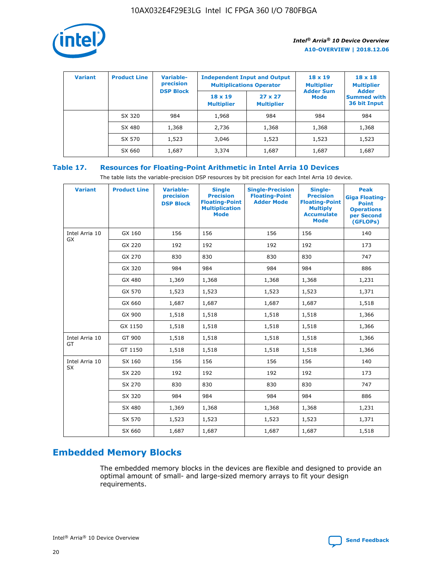

| <b>Variant</b> | <b>Product Line</b> | Variable-<br>precision | <b>Independent Input and Output</b><br><b>Multiplications Operator</b> |                                     | $18 \times 19$<br><b>Multiplier</b> | $18 \times 18$<br><b>Multiplier</b><br><b>Adder</b> |  |
|----------------|---------------------|------------------------|------------------------------------------------------------------------|-------------------------------------|-------------------------------------|-----------------------------------------------------|--|
|                |                     | <b>DSP Block</b>       | $18 \times 19$<br><b>Multiplier</b>                                    | $27 \times 27$<br><b>Multiplier</b> | <b>Adder Sum</b><br><b>Mode</b>     | <b>Summed with</b><br>36 bit Input                  |  |
|                | SX 320              | 984                    | 1,968                                                                  | 984                                 | 984                                 | 984                                                 |  |
|                | SX 480              | 1,368                  | 2,736                                                                  | 1,368                               | 1,368                               | 1,368                                               |  |
|                | SX 570              | 1,523                  | 3,046                                                                  | 1,523                               | 1,523                               | 1,523                                               |  |
|                | SX 660              | 1,687                  | 3,374                                                                  | 1,687                               | 1,687                               | 1,687                                               |  |

# **Table 17. Resources for Floating-Point Arithmetic in Intel Arria 10 Devices**

The table lists the variable-precision DSP resources by bit precision for each Intel Arria 10 device.

| <b>Variant</b>              | <b>Product Line</b> | <b>Variable-</b><br>precision<br><b>DSP Block</b> | <b>Single</b><br><b>Precision</b><br><b>Floating-Point</b><br><b>Multiplication</b><br><b>Mode</b> | <b>Single-Precision</b><br><b>Floating-Point</b><br><b>Adder Mode</b> | Single-<br><b>Precision</b><br><b>Floating-Point</b><br><b>Multiply</b><br><b>Accumulate</b><br><b>Mode</b> | <b>Peak</b><br><b>Giga Floating-</b><br><b>Point</b><br><b>Operations</b><br>per Second<br>(GFLOPs) |
|-----------------------------|---------------------|---------------------------------------------------|----------------------------------------------------------------------------------------------------|-----------------------------------------------------------------------|-------------------------------------------------------------------------------------------------------------|-----------------------------------------------------------------------------------------------------|
| Intel Arria 10<br>GX        | GX 160              | 156                                               | 156                                                                                                | 156                                                                   | 156                                                                                                         | 140                                                                                                 |
|                             | GX 220              | 192                                               | 192                                                                                                | 192                                                                   | 192                                                                                                         | 173                                                                                                 |
|                             | GX 270              | 830                                               | 830                                                                                                | 830                                                                   | 830                                                                                                         | 747                                                                                                 |
|                             | GX 320              | 984                                               | 984                                                                                                | 984                                                                   | 984                                                                                                         | 886                                                                                                 |
|                             | GX 480              | 1,369                                             | 1,368                                                                                              | 1,368                                                                 | 1,368                                                                                                       | 1,231                                                                                               |
|                             | GX 570              | 1,523                                             | 1,523                                                                                              | 1,523                                                                 | 1,523                                                                                                       | 1,371                                                                                               |
|                             | GX 660              | 1,687                                             | 1,687                                                                                              | 1,687                                                                 | 1,687                                                                                                       | 1,518                                                                                               |
|                             | GX 900              | 1,518                                             | 1,518                                                                                              | 1,518                                                                 | 1,518                                                                                                       | 1,366                                                                                               |
|                             | GX 1150             | 1,518                                             | 1,518                                                                                              | 1,518                                                                 | 1,518                                                                                                       | 1,366                                                                                               |
| Intel Arria 10              | GT 900              | 1,518                                             | 1,518                                                                                              | 1,518                                                                 | 1,518                                                                                                       | 1,366                                                                                               |
| GT                          | GT 1150             | 1,518                                             | 1,518                                                                                              | 1,518                                                                 | 1,518                                                                                                       | 1,366                                                                                               |
| Intel Arria 10<br><b>SX</b> | SX 160              | 156                                               | 156                                                                                                | 156                                                                   | 156                                                                                                         | 140                                                                                                 |
|                             | SX 220              | 192                                               | 192                                                                                                | 192                                                                   | 192                                                                                                         | 173                                                                                                 |
|                             | SX 270              | 830                                               | 830                                                                                                | 830                                                                   | 830                                                                                                         | 747                                                                                                 |
|                             | SX 320              | 984                                               | 984                                                                                                | 984                                                                   | 984                                                                                                         | 886                                                                                                 |
|                             | SX 480              | 1,369                                             | 1,368                                                                                              | 1,368                                                                 | 1,368                                                                                                       | 1,231                                                                                               |
|                             | SX 570              | 1,523                                             | 1,523                                                                                              | 1,523                                                                 | 1,523                                                                                                       | 1,371                                                                                               |
|                             | SX 660              | 1,687                                             | 1,687                                                                                              | 1,687                                                                 | 1,687                                                                                                       | 1,518                                                                                               |

# **Embedded Memory Blocks**

The embedded memory blocks in the devices are flexible and designed to provide an optimal amount of small- and large-sized memory arrays to fit your design requirements.

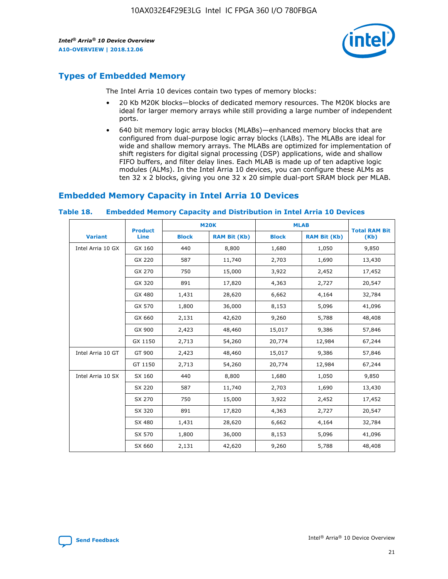

# **Types of Embedded Memory**

The Intel Arria 10 devices contain two types of memory blocks:

- 20 Kb M20K blocks—blocks of dedicated memory resources. The M20K blocks are ideal for larger memory arrays while still providing a large number of independent ports.
- 640 bit memory logic array blocks (MLABs)—enhanced memory blocks that are configured from dual-purpose logic array blocks (LABs). The MLABs are ideal for wide and shallow memory arrays. The MLABs are optimized for implementation of shift registers for digital signal processing (DSP) applications, wide and shallow FIFO buffers, and filter delay lines. Each MLAB is made up of ten adaptive logic modules (ALMs). In the Intel Arria 10 devices, you can configure these ALMs as ten 32 x 2 blocks, giving you one 32 x 20 simple dual-port SRAM block per MLAB.

# **Embedded Memory Capacity in Intel Arria 10 Devices**

|                   | <b>Product</b> |              | <b>M20K</b>         | <b>MLAB</b>  |                     | <b>Total RAM Bit</b> |
|-------------------|----------------|--------------|---------------------|--------------|---------------------|----------------------|
| <b>Variant</b>    | <b>Line</b>    | <b>Block</b> | <b>RAM Bit (Kb)</b> | <b>Block</b> | <b>RAM Bit (Kb)</b> | (Kb)                 |
| Intel Arria 10 GX | GX 160         | 440          | 8,800               | 1,680        | 1,050               | 9,850                |
|                   | GX 220         | 587          | 11,740              | 2,703        | 1,690               | 13,430               |
|                   | GX 270         | 750          | 15,000              | 3,922        | 2,452               | 17,452               |
|                   | GX 320         | 891          | 17,820              | 4,363        | 2,727               | 20,547               |
|                   | GX 480         | 1,431        | 28,620              | 6,662        | 4,164               | 32,784               |
|                   | GX 570         | 1,800        | 36,000              | 8,153        | 5,096               | 41,096               |
|                   | GX 660         | 2,131        | 42,620              | 9,260        | 5,788               | 48,408               |
|                   | GX 900         | 2,423        | 48,460              | 15,017       | 9,386               | 57,846               |
|                   | GX 1150        | 2,713        | 54,260              | 20,774       | 12,984              | 67,244               |
| Intel Arria 10 GT | GT 900         | 2,423        | 48,460              | 15,017       | 9,386               | 57,846               |
|                   | GT 1150        | 2,713        | 54,260              | 20,774       | 12,984              | 67,244               |
| Intel Arria 10 SX | SX 160         | 440          | 8,800               | 1,680        | 1,050               | 9,850                |
|                   | SX 220         | 587          | 11,740              | 2,703        | 1,690               | 13,430               |
|                   | SX 270         | 750          | 15,000              | 3,922        | 2,452               | 17,452               |
|                   | SX 320         | 891          | 17,820              | 4,363        | 2,727               | 20,547               |
|                   | SX 480         | 1,431        | 28,620              | 6,662        | 4,164               | 32,784               |
|                   | SX 570         | 1,800        | 36,000              | 8,153        | 5,096               | 41,096               |
|                   | SX 660         | 2,131        | 42,620              | 9,260        | 5,788               | 48,408               |

#### **Table 18. Embedded Memory Capacity and Distribution in Intel Arria 10 Devices**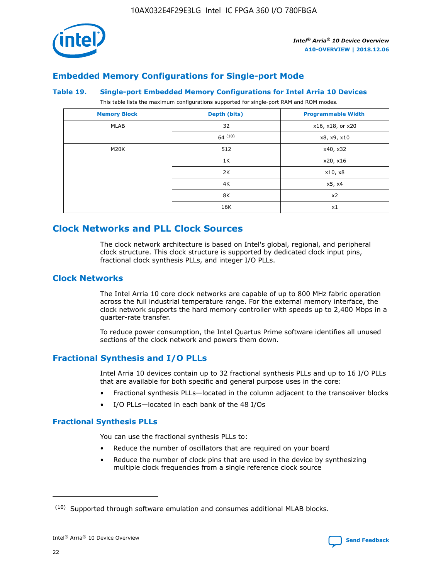

# **Embedded Memory Configurations for Single-port Mode**

## **Table 19. Single-port Embedded Memory Configurations for Intel Arria 10 Devices**

This table lists the maximum configurations supported for single-port RAM and ROM modes.

| <b>Memory Block</b> | Depth (bits) | <b>Programmable Width</b> |
|---------------------|--------------|---------------------------|
| MLAB                | 32           | x16, x18, or x20          |
|                     | 64(10)       | x8, x9, x10               |
| M20K                | 512          | x40, x32                  |
|                     | 1K           | x20, x16                  |
|                     | 2K           | x10, x8                   |
|                     | 4K           | x5, x4                    |
|                     | 8K           | x2                        |
|                     | 16K          | x1                        |

# **Clock Networks and PLL Clock Sources**

The clock network architecture is based on Intel's global, regional, and peripheral clock structure. This clock structure is supported by dedicated clock input pins, fractional clock synthesis PLLs, and integer I/O PLLs.

# **Clock Networks**

The Intel Arria 10 core clock networks are capable of up to 800 MHz fabric operation across the full industrial temperature range. For the external memory interface, the clock network supports the hard memory controller with speeds up to 2,400 Mbps in a quarter-rate transfer.

To reduce power consumption, the Intel Quartus Prime software identifies all unused sections of the clock network and powers them down.

# **Fractional Synthesis and I/O PLLs**

Intel Arria 10 devices contain up to 32 fractional synthesis PLLs and up to 16 I/O PLLs that are available for both specific and general purpose uses in the core:

- Fractional synthesis PLLs—located in the column adjacent to the transceiver blocks
- I/O PLLs—located in each bank of the 48 I/Os

## **Fractional Synthesis PLLs**

You can use the fractional synthesis PLLs to:

- Reduce the number of oscillators that are required on your board
- Reduce the number of clock pins that are used in the device by synthesizing multiple clock frequencies from a single reference clock source

<sup>(10)</sup> Supported through software emulation and consumes additional MLAB blocks.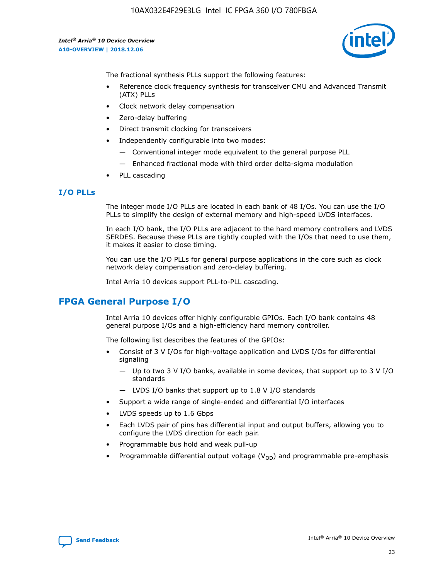

The fractional synthesis PLLs support the following features:

- Reference clock frequency synthesis for transceiver CMU and Advanced Transmit (ATX) PLLs
- Clock network delay compensation
- Zero-delay buffering
- Direct transmit clocking for transceivers
- Independently configurable into two modes:
	- Conventional integer mode equivalent to the general purpose PLL
	- Enhanced fractional mode with third order delta-sigma modulation
- PLL cascading

## **I/O PLLs**

The integer mode I/O PLLs are located in each bank of 48 I/Os. You can use the I/O PLLs to simplify the design of external memory and high-speed LVDS interfaces.

In each I/O bank, the I/O PLLs are adjacent to the hard memory controllers and LVDS SERDES. Because these PLLs are tightly coupled with the I/Os that need to use them, it makes it easier to close timing.

You can use the I/O PLLs for general purpose applications in the core such as clock network delay compensation and zero-delay buffering.

Intel Arria 10 devices support PLL-to-PLL cascading.

# **FPGA General Purpose I/O**

Intel Arria 10 devices offer highly configurable GPIOs. Each I/O bank contains 48 general purpose I/Os and a high-efficiency hard memory controller.

The following list describes the features of the GPIOs:

- Consist of 3 V I/Os for high-voltage application and LVDS I/Os for differential signaling
	- Up to two 3 V I/O banks, available in some devices, that support up to 3 V I/O standards
	- LVDS I/O banks that support up to 1.8 V I/O standards
- Support a wide range of single-ended and differential I/O interfaces
- LVDS speeds up to 1.6 Gbps
- Each LVDS pair of pins has differential input and output buffers, allowing you to configure the LVDS direction for each pair.
- Programmable bus hold and weak pull-up
- Programmable differential output voltage  $(V_{OD})$  and programmable pre-emphasis

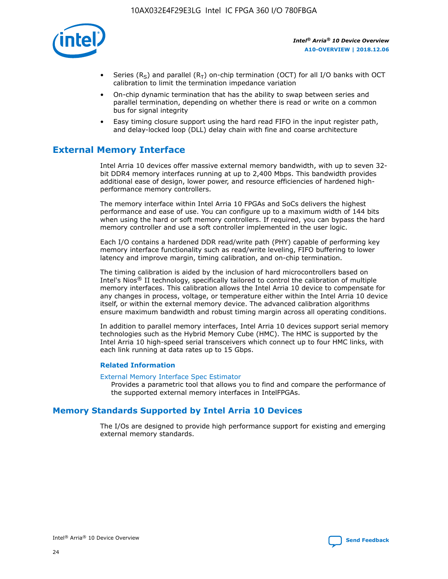

- Series (R<sub>S</sub>) and parallel (R<sub>T</sub>) on-chip termination (OCT) for all I/O banks with OCT calibration to limit the termination impedance variation
- On-chip dynamic termination that has the ability to swap between series and parallel termination, depending on whether there is read or write on a common bus for signal integrity
- Easy timing closure support using the hard read FIFO in the input register path, and delay-locked loop (DLL) delay chain with fine and coarse architecture

# **External Memory Interface**

Intel Arria 10 devices offer massive external memory bandwidth, with up to seven 32 bit DDR4 memory interfaces running at up to 2,400 Mbps. This bandwidth provides additional ease of design, lower power, and resource efficiencies of hardened highperformance memory controllers.

The memory interface within Intel Arria 10 FPGAs and SoCs delivers the highest performance and ease of use. You can configure up to a maximum width of 144 bits when using the hard or soft memory controllers. If required, you can bypass the hard memory controller and use a soft controller implemented in the user logic.

Each I/O contains a hardened DDR read/write path (PHY) capable of performing key memory interface functionality such as read/write leveling, FIFO buffering to lower latency and improve margin, timing calibration, and on-chip termination.

The timing calibration is aided by the inclusion of hard microcontrollers based on Intel's Nios® II technology, specifically tailored to control the calibration of multiple memory interfaces. This calibration allows the Intel Arria 10 device to compensate for any changes in process, voltage, or temperature either within the Intel Arria 10 device itself, or within the external memory device. The advanced calibration algorithms ensure maximum bandwidth and robust timing margin across all operating conditions.

In addition to parallel memory interfaces, Intel Arria 10 devices support serial memory technologies such as the Hybrid Memory Cube (HMC). The HMC is supported by the Intel Arria 10 high-speed serial transceivers which connect up to four HMC links, with each link running at data rates up to 15 Gbps.

## **Related Information**

#### [External Memory Interface Spec Estimator](http://www.altera.com/technology/memory/estimator/mem-emif-index.html)

Provides a parametric tool that allows you to find and compare the performance of the supported external memory interfaces in IntelFPGAs.

# **Memory Standards Supported by Intel Arria 10 Devices**

The I/Os are designed to provide high performance support for existing and emerging external memory standards.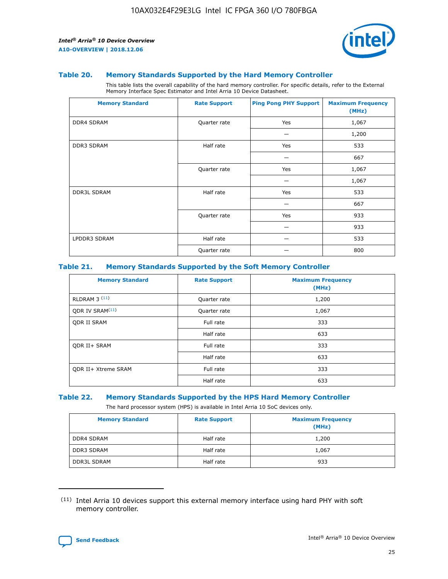

#### **Table 20. Memory Standards Supported by the Hard Memory Controller**

This table lists the overall capability of the hard memory controller. For specific details, refer to the External Memory Interface Spec Estimator and Intel Arria 10 Device Datasheet.

| <b>Memory Standard</b> | <b>Rate Support</b> | <b>Ping Pong PHY Support</b> | <b>Maximum Frequency</b><br>(MHz) |
|------------------------|---------------------|------------------------------|-----------------------------------|
| <b>DDR4 SDRAM</b>      | Quarter rate        | Yes                          | 1,067                             |
|                        |                     |                              | 1,200                             |
| <b>DDR3 SDRAM</b>      | Half rate           | Yes                          | 533                               |
|                        |                     |                              | 667                               |
|                        | Quarter rate        | Yes                          | 1,067                             |
|                        |                     |                              | 1,067                             |
| <b>DDR3L SDRAM</b>     | Half rate           | Yes                          | 533                               |
|                        |                     |                              | 667                               |
|                        | Quarter rate        | Yes                          | 933                               |
|                        |                     |                              | 933                               |
| LPDDR3 SDRAM           | Half rate           |                              | 533                               |
|                        | Quarter rate        |                              | 800                               |

#### **Table 21. Memory Standards Supported by the Soft Memory Controller**

| <b>Memory Standard</b>      | <b>Rate Support</b> | <b>Maximum Frequency</b><br>(MHz) |
|-----------------------------|---------------------|-----------------------------------|
| <b>RLDRAM 3 (11)</b>        | Quarter rate        | 1,200                             |
| ODR IV SRAM <sup>(11)</sup> | Quarter rate        | 1,067                             |
| <b>ODR II SRAM</b>          | Full rate           | 333                               |
|                             | Half rate           | 633                               |
| <b>ODR II+ SRAM</b>         | Full rate           | 333                               |
|                             | Half rate           | 633                               |
| <b>ODR II+ Xtreme SRAM</b>  | Full rate           | 333                               |
|                             | Half rate           | 633                               |

#### **Table 22. Memory Standards Supported by the HPS Hard Memory Controller**

The hard processor system (HPS) is available in Intel Arria 10 SoC devices only.

| <b>Memory Standard</b> | <b>Rate Support</b> | <b>Maximum Frequency</b><br>(MHz) |
|------------------------|---------------------|-----------------------------------|
| <b>DDR4 SDRAM</b>      | Half rate           | 1,200                             |
| <b>DDR3 SDRAM</b>      | Half rate           | 1,067                             |
| <b>DDR3L SDRAM</b>     | Half rate           | 933                               |

<sup>(11)</sup> Intel Arria 10 devices support this external memory interface using hard PHY with soft memory controller.

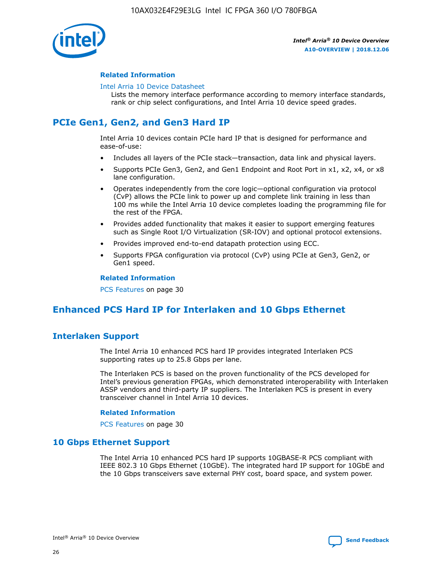

## **Related Information**

#### [Intel Arria 10 Device Datasheet](https://www.intel.com/content/www/us/en/programmable/documentation/mcn1413182292568.html#mcn1413182153340)

Lists the memory interface performance according to memory interface standards, rank or chip select configurations, and Intel Arria 10 device speed grades.

# **PCIe Gen1, Gen2, and Gen3 Hard IP**

Intel Arria 10 devices contain PCIe hard IP that is designed for performance and ease-of-use:

- Includes all layers of the PCIe stack—transaction, data link and physical layers.
- Supports PCIe Gen3, Gen2, and Gen1 Endpoint and Root Port in x1, x2, x4, or x8 lane configuration.
- Operates independently from the core logic—optional configuration via protocol (CvP) allows the PCIe link to power up and complete link training in less than 100 ms while the Intel Arria 10 device completes loading the programming file for the rest of the FPGA.
- Provides added functionality that makes it easier to support emerging features such as Single Root I/O Virtualization (SR-IOV) and optional protocol extensions.
- Provides improved end-to-end datapath protection using ECC.
- Supports FPGA configuration via protocol (CvP) using PCIe at Gen3, Gen2, or Gen1 speed.

#### **Related Information**

PCS Features on page 30

# **Enhanced PCS Hard IP for Interlaken and 10 Gbps Ethernet**

# **Interlaken Support**

The Intel Arria 10 enhanced PCS hard IP provides integrated Interlaken PCS supporting rates up to 25.8 Gbps per lane.

The Interlaken PCS is based on the proven functionality of the PCS developed for Intel's previous generation FPGAs, which demonstrated interoperability with Interlaken ASSP vendors and third-party IP suppliers. The Interlaken PCS is present in every transceiver channel in Intel Arria 10 devices.

## **Related Information**

PCS Features on page 30

# **10 Gbps Ethernet Support**

The Intel Arria 10 enhanced PCS hard IP supports 10GBASE-R PCS compliant with IEEE 802.3 10 Gbps Ethernet (10GbE). The integrated hard IP support for 10GbE and the 10 Gbps transceivers save external PHY cost, board space, and system power.

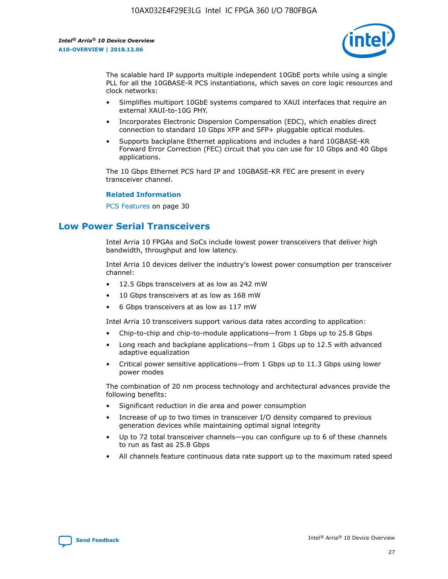

The scalable hard IP supports multiple independent 10GbE ports while using a single PLL for all the 10GBASE-R PCS instantiations, which saves on core logic resources and clock networks:

- Simplifies multiport 10GbE systems compared to XAUI interfaces that require an external XAUI-to-10G PHY.
- Incorporates Electronic Dispersion Compensation (EDC), which enables direct connection to standard 10 Gbps XFP and SFP+ pluggable optical modules.
- Supports backplane Ethernet applications and includes a hard 10GBASE-KR Forward Error Correction (FEC) circuit that you can use for 10 Gbps and 40 Gbps applications.

The 10 Gbps Ethernet PCS hard IP and 10GBASE-KR FEC are present in every transceiver channel.

#### **Related Information**

PCS Features on page 30

# **Low Power Serial Transceivers**

Intel Arria 10 FPGAs and SoCs include lowest power transceivers that deliver high bandwidth, throughput and low latency.

Intel Arria 10 devices deliver the industry's lowest power consumption per transceiver channel:

- 12.5 Gbps transceivers at as low as 242 mW
- 10 Gbps transceivers at as low as 168 mW
- 6 Gbps transceivers at as low as 117 mW

Intel Arria 10 transceivers support various data rates according to application:

- Chip-to-chip and chip-to-module applications—from 1 Gbps up to 25.8 Gbps
- Long reach and backplane applications—from 1 Gbps up to 12.5 with advanced adaptive equalization
- Critical power sensitive applications—from 1 Gbps up to 11.3 Gbps using lower power modes

The combination of 20 nm process technology and architectural advances provide the following benefits:

- Significant reduction in die area and power consumption
- Increase of up to two times in transceiver I/O density compared to previous generation devices while maintaining optimal signal integrity
- Up to 72 total transceiver channels—you can configure up to 6 of these channels to run as fast as 25.8 Gbps
- All channels feature continuous data rate support up to the maximum rated speed

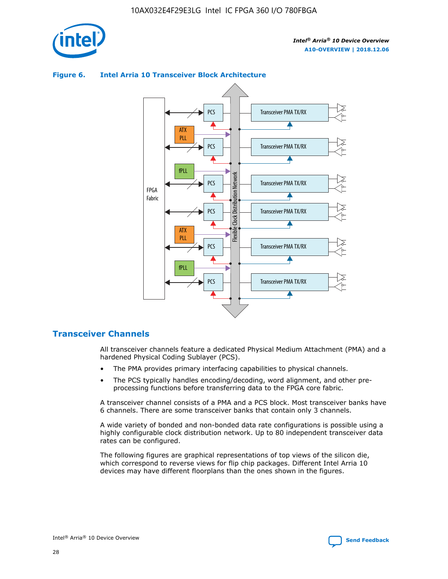



## **Figure 6. Intel Arria 10 Transceiver Block Architecture**

# **Transceiver Channels**

All transceiver channels feature a dedicated Physical Medium Attachment (PMA) and a hardened Physical Coding Sublayer (PCS).

- The PMA provides primary interfacing capabilities to physical channels.
- The PCS typically handles encoding/decoding, word alignment, and other preprocessing functions before transferring data to the FPGA core fabric.

A transceiver channel consists of a PMA and a PCS block. Most transceiver banks have 6 channels. There are some transceiver banks that contain only 3 channels.

A wide variety of bonded and non-bonded data rate configurations is possible using a highly configurable clock distribution network. Up to 80 independent transceiver data rates can be configured.

The following figures are graphical representations of top views of the silicon die, which correspond to reverse views for flip chip packages. Different Intel Arria 10 devices may have different floorplans than the ones shown in the figures.

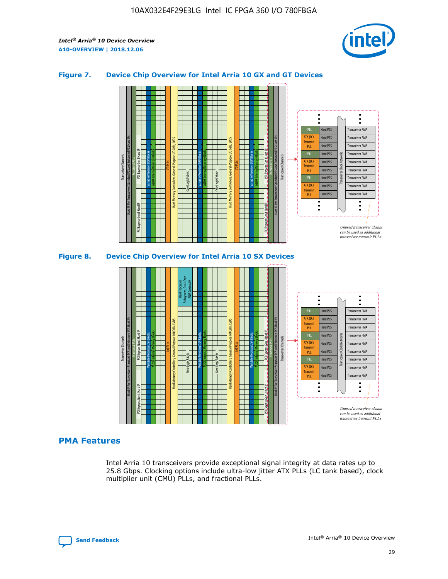

## **Figure 7. Device Chip Overview for Intel Arria 10 GX and GT Devices**



## **PMA Features**

Intel Arria 10 transceivers provide exceptional signal integrity at data rates up to 25.8 Gbps. Clocking options include ultra-low jitter ATX PLLs (LC tank based), clock multiplier unit (CMU) PLLs, and fractional PLLs.



Hard PCS Hard PCS Hard PCS Hard PCS Hard PCS

ATX (LC) Transmi PLL fPLL ATX (LC) **Transmit** PLL

Transceiver PMA Transceiver PMA Transceiver PMA

Transceiver PMA Transceiver PMA

Unused transceiver chann can be used as additional transceiver transmit PLLs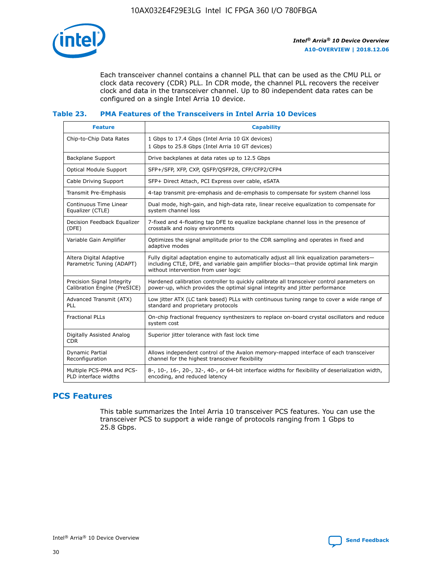

Each transceiver channel contains a channel PLL that can be used as the CMU PLL or clock data recovery (CDR) PLL. In CDR mode, the channel PLL recovers the receiver clock and data in the transceiver channel. Up to 80 independent data rates can be configured on a single Intel Arria 10 device.

## **Table 23. PMA Features of the Transceivers in Intel Arria 10 Devices**

| <b>Feature</b>                                             | <b>Capability</b>                                                                                                                                                                                                             |
|------------------------------------------------------------|-------------------------------------------------------------------------------------------------------------------------------------------------------------------------------------------------------------------------------|
| Chip-to-Chip Data Rates                                    | 1 Gbps to 17.4 Gbps (Intel Arria 10 GX devices)<br>1 Gbps to 25.8 Gbps (Intel Arria 10 GT devices)                                                                                                                            |
| Backplane Support                                          | Drive backplanes at data rates up to 12.5 Gbps                                                                                                                                                                                |
| <b>Optical Module Support</b>                              | SFP+/SFP, XFP, CXP, QSFP/QSFP28, CFP/CFP2/CFP4                                                                                                                                                                                |
| Cable Driving Support                                      | SFP+ Direct Attach, PCI Express over cable, eSATA                                                                                                                                                                             |
| Transmit Pre-Emphasis                                      | 4-tap transmit pre-emphasis and de-emphasis to compensate for system channel loss                                                                                                                                             |
| Continuous Time Linear<br>Equalizer (CTLE)                 | Dual mode, high-gain, and high-data rate, linear receive equalization to compensate for<br>system channel loss                                                                                                                |
| Decision Feedback Equalizer<br>(DFE)                       | 7-fixed and 4-floating tap DFE to equalize backplane channel loss in the presence of<br>crosstalk and noisy environments                                                                                                      |
| Variable Gain Amplifier                                    | Optimizes the signal amplitude prior to the CDR sampling and operates in fixed and<br>adaptive modes                                                                                                                          |
| Altera Digital Adaptive<br>Parametric Tuning (ADAPT)       | Fully digital adaptation engine to automatically adjust all link equalization parameters-<br>including CTLE, DFE, and variable gain amplifier blocks—that provide optimal link margin<br>without intervention from user logic |
| Precision Signal Integrity<br>Calibration Engine (PreSICE) | Hardened calibration controller to quickly calibrate all transceiver control parameters on<br>power-up, which provides the optimal signal integrity and jitter performance                                                    |
| Advanced Transmit (ATX)<br>PLL                             | Low jitter ATX (LC tank based) PLLs with continuous tuning range to cover a wide range of<br>standard and proprietary protocols                                                                                               |
| <b>Fractional PLLs</b>                                     | On-chip fractional frequency synthesizers to replace on-board crystal oscillators and reduce<br>system cost                                                                                                                   |
| Digitally Assisted Analog<br><b>CDR</b>                    | Superior jitter tolerance with fast lock time                                                                                                                                                                                 |
| Dynamic Partial<br>Reconfiguration                         | Allows independent control of the Avalon memory-mapped interface of each transceiver<br>channel for the highest transceiver flexibility                                                                                       |
| Multiple PCS-PMA and PCS-<br>PLD interface widths          | 8-, 10-, 16-, 20-, 32-, 40-, or 64-bit interface widths for flexibility of deserialization width,<br>encoding, and reduced latency                                                                                            |

# **PCS Features**

This table summarizes the Intel Arria 10 transceiver PCS features. You can use the transceiver PCS to support a wide range of protocols ranging from 1 Gbps to 25.8 Gbps.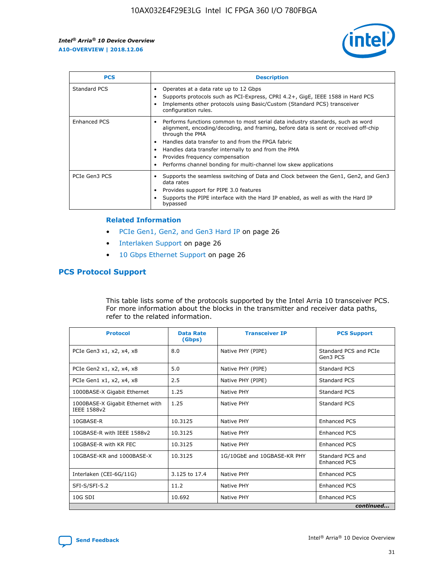

| <b>PCS</b>          | <b>Description</b>                                                                                                                                                                                                                                                                                                                                                                                             |
|---------------------|----------------------------------------------------------------------------------------------------------------------------------------------------------------------------------------------------------------------------------------------------------------------------------------------------------------------------------------------------------------------------------------------------------------|
| Standard PCS        | Operates at a data rate up to 12 Gbps<br>Supports protocols such as PCI-Express, CPRI 4.2+, GigE, IEEE 1588 in Hard PCS<br>Implements other protocols using Basic/Custom (Standard PCS) transceiver<br>configuration rules.                                                                                                                                                                                    |
| <b>Enhanced PCS</b> | Performs functions common to most serial data industry standards, such as word<br>alignment, encoding/decoding, and framing, before data is sent or received off-chip<br>through the PMA<br>• Handles data transfer to and from the FPGA fabric<br>Handles data transfer internally to and from the PMA<br>Provides frequency compensation<br>Performs channel bonding for multi-channel low skew applications |
| PCIe Gen3 PCS       | Supports the seamless switching of Data and Clock between the Gen1, Gen2, and Gen3<br>data rates<br>Provides support for PIPE 3.0 features<br>Supports the PIPE interface with the Hard IP enabled, as well as with the Hard IP<br>bypassed                                                                                                                                                                    |

#### **Related Information**

- PCIe Gen1, Gen2, and Gen3 Hard IP on page 26
- Interlaken Support on page 26
- 10 Gbps Ethernet Support on page 26

# **PCS Protocol Support**

This table lists some of the protocols supported by the Intel Arria 10 transceiver PCS. For more information about the blocks in the transmitter and receiver data paths, refer to the related information.

| <b>Protocol</b>                                 | <b>Data Rate</b><br>(Gbps) | <b>Transceiver IP</b>       | <b>PCS Support</b>                      |
|-------------------------------------------------|----------------------------|-----------------------------|-----------------------------------------|
| PCIe Gen3 x1, x2, x4, x8                        | 8.0                        | Native PHY (PIPE)           | Standard PCS and PCIe<br>Gen3 PCS       |
| PCIe Gen2 x1, x2, x4, x8                        | 5.0                        | Native PHY (PIPE)           | <b>Standard PCS</b>                     |
| PCIe Gen1 x1, x2, x4, x8                        | 2.5                        | Native PHY (PIPE)           | Standard PCS                            |
| 1000BASE-X Gigabit Ethernet                     | 1.25                       | Native PHY                  | <b>Standard PCS</b>                     |
| 1000BASE-X Gigabit Ethernet with<br>IEEE 1588v2 | 1.25                       | Native PHY                  | Standard PCS                            |
| 10GBASE-R                                       | 10.3125                    | Native PHY                  | <b>Enhanced PCS</b>                     |
| 10GBASE-R with IEEE 1588v2                      | 10.3125                    | Native PHY                  | <b>Enhanced PCS</b>                     |
| 10GBASE-R with KR FEC                           | 10.3125                    | Native PHY                  | <b>Enhanced PCS</b>                     |
| 10GBASE-KR and 1000BASE-X                       | 10.3125                    | 1G/10GbE and 10GBASE-KR PHY | Standard PCS and<br><b>Enhanced PCS</b> |
| Interlaken (CEI-6G/11G)                         | 3.125 to 17.4              | Native PHY                  | <b>Enhanced PCS</b>                     |
| SFI-S/SFI-5.2                                   | 11.2                       | Native PHY                  | <b>Enhanced PCS</b>                     |
| $10G$ SDI                                       | 10.692                     | Native PHY                  | <b>Enhanced PCS</b>                     |
|                                                 |                            |                             | continued                               |

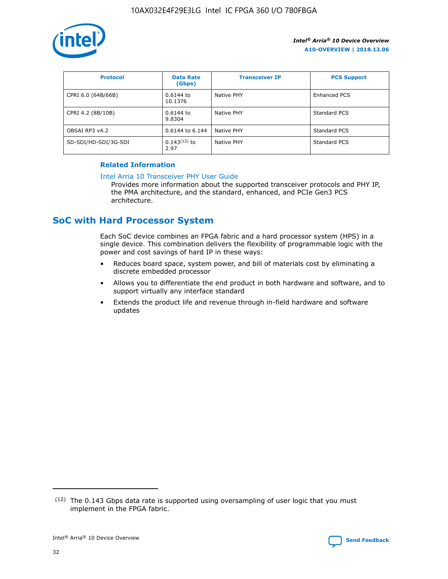

| <b>Protocol</b>      | <b>Data Rate</b><br>(Gbps) | <b>Transceiver IP</b> | <b>PCS Support</b> |
|----------------------|----------------------------|-----------------------|--------------------|
| CPRI 6.0 (64B/66B)   | 0.6144 to<br>10.1376       | Native PHY            | Enhanced PCS       |
| CPRI 4.2 (8B/10B)    | 0.6144 to<br>9.8304        | Native PHY            | Standard PCS       |
| OBSAI RP3 v4.2       | 0.6144 to 6.144            | Native PHY            | Standard PCS       |
| SD-SDI/HD-SDI/3G-SDI | $0.143(12)$ to<br>2.97     | Native PHY            | Standard PCS       |

## **Related Information**

#### [Intel Arria 10 Transceiver PHY User Guide](https://www.intel.com/content/www/us/en/programmable/documentation/nik1398707230472.html#nik1398707091164)

Provides more information about the supported transceiver protocols and PHY IP, the PMA architecture, and the standard, enhanced, and PCIe Gen3 PCS architecture.

# **SoC with Hard Processor System**

Each SoC device combines an FPGA fabric and a hard processor system (HPS) in a single device. This combination delivers the flexibility of programmable logic with the power and cost savings of hard IP in these ways:

- Reduces board space, system power, and bill of materials cost by eliminating a discrete embedded processor
- Allows you to differentiate the end product in both hardware and software, and to support virtually any interface standard
- Extends the product life and revenue through in-field hardware and software updates

 $(12)$  The 0.143 Gbps data rate is supported using oversampling of user logic that you must implement in the FPGA fabric.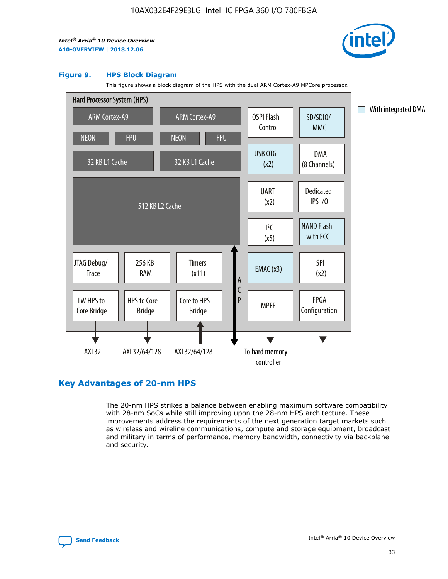

#### **Figure 9. HPS Block Diagram**

This figure shows a block diagram of the HPS with the dual ARM Cortex-A9 MPCore processor.



# **Key Advantages of 20-nm HPS**

The 20-nm HPS strikes a balance between enabling maximum software compatibility with 28-nm SoCs while still improving upon the 28-nm HPS architecture. These improvements address the requirements of the next generation target markets such as wireless and wireline communications, compute and storage equipment, broadcast and military in terms of performance, memory bandwidth, connectivity via backplane and security.

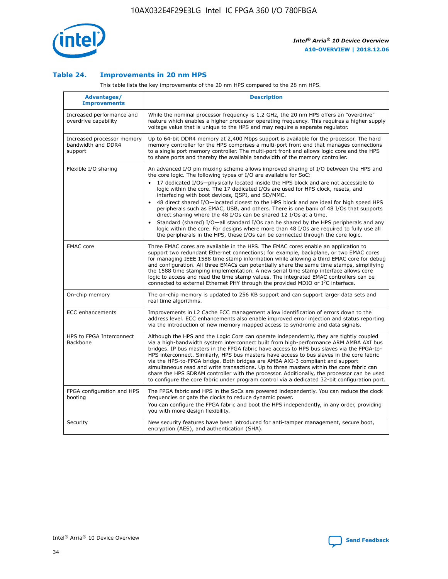

## **Table 24. Improvements in 20 nm HPS**

This table lists the key improvements of the 20 nm HPS compared to the 28 nm HPS.

| Advantages/<br><b>Improvements</b>                          | <b>Description</b>                                                                                                                                                                                                                                                                                                                                                                                                                                                                                                                                                                                                                                                                                                                                                                                                                                                                                                      |
|-------------------------------------------------------------|-------------------------------------------------------------------------------------------------------------------------------------------------------------------------------------------------------------------------------------------------------------------------------------------------------------------------------------------------------------------------------------------------------------------------------------------------------------------------------------------------------------------------------------------------------------------------------------------------------------------------------------------------------------------------------------------------------------------------------------------------------------------------------------------------------------------------------------------------------------------------------------------------------------------------|
| Increased performance and<br>overdrive capability           | While the nominal processor frequency is 1.2 GHz, the 20 nm HPS offers an "overdrive"<br>feature which enables a higher processor operating frequency. This requires a higher supply<br>voltage value that is unique to the HPS and may require a separate regulator.                                                                                                                                                                                                                                                                                                                                                                                                                                                                                                                                                                                                                                                   |
| Increased processor memory<br>bandwidth and DDR4<br>support | Up to 64-bit DDR4 memory at 2,400 Mbps support is available for the processor. The hard<br>memory controller for the HPS comprises a multi-port front end that manages connections<br>to a single port memory controller. The multi-port front end allows logic core and the HPS<br>to share ports and thereby the available bandwidth of the memory controller.                                                                                                                                                                                                                                                                                                                                                                                                                                                                                                                                                        |
| Flexible I/O sharing                                        | An advanced I/O pin muxing scheme allows improved sharing of I/O between the HPS and<br>the core logic. The following types of I/O are available for SoC:<br>17 dedicated I/Os-physically located inside the HPS block and are not accessible to<br>logic within the core. The 17 dedicated I/Os are used for HPS clock, resets, and<br>interfacing with boot devices, QSPI, and SD/MMC.<br>48 direct shared I/O-located closest to the HPS block and are ideal for high speed HPS<br>peripherals such as EMAC, USB, and others. There is one bank of 48 I/Os that supports<br>direct sharing where the 48 I/Os can be shared 12 I/Os at a time.<br>Standard (shared) I/O—all standard I/Os can be shared by the HPS peripherals and any<br>logic within the core. For designs where more than 48 I/Os are required to fully use all<br>the peripherals in the HPS, these I/Os can be connected through the core logic. |
| <b>EMAC</b> core                                            | Three EMAC cores are available in the HPS. The EMAC cores enable an application to<br>support two redundant Ethernet connections; for example, backplane, or two EMAC cores<br>for managing IEEE 1588 time stamp information while allowing a third EMAC core for debug<br>and configuration. All three EMACs can potentially share the same time stamps, simplifying<br>the 1588 time stamping implementation. A new serial time stamp interface allows core<br>logic to access and read the time stamp values. The integrated EMAC controllers can be<br>connected to external Ethernet PHY through the provided MDIO or I <sup>2</sup> C interface.                                                                                                                                                                                                                                                                  |
| On-chip memory                                              | The on-chip memory is updated to 256 KB support and can support larger data sets and<br>real time algorithms.                                                                                                                                                                                                                                                                                                                                                                                                                                                                                                                                                                                                                                                                                                                                                                                                           |
| <b>ECC</b> enhancements                                     | Improvements in L2 Cache ECC management allow identification of errors down to the<br>address level. ECC enhancements also enable improved error injection and status reporting<br>via the introduction of new memory mapped access to syndrome and data signals.                                                                                                                                                                                                                                                                                                                                                                                                                                                                                                                                                                                                                                                       |
| HPS to FPGA Interconnect<br>Backbone                        | Although the HPS and the Logic Core can operate independently, they are tightly coupled<br>via a high-bandwidth system interconnect built from high-performance ARM AMBA AXI bus<br>bridges. IP bus masters in the FPGA fabric have access to HPS bus slaves via the FPGA-to-<br>HPS interconnect. Similarly, HPS bus masters have access to bus slaves in the core fabric<br>via the HPS-to-FPGA bridge. Both bridges are AMBA AXI-3 compliant and support<br>simultaneous read and write transactions. Up to three masters within the core fabric can<br>share the HPS SDRAM controller with the processor. Additionally, the processor can be used<br>to configure the core fabric under program control via a dedicated 32-bit configuration port.                                                                                                                                                                  |
| FPGA configuration and HPS<br>booting                       | The FPGA fabric and HPS in the SoCs are powered independently. You can reduce the clock<br>frequencies or gate the clocks to reduce dynamic power.<br>You can configure the FPGA fabric and boot the HPS independently, in any order, providing<br>you with more design flexibility.                                                                                                                                                                                                                                                                                                                                                                                                                                                                                                                                                                                                                                    |
| Security                                                    | New security features have been introduced for anti-tamper management, secure boot,<br>encryption (AES), and authentication (SHA).                                                                                                                                                                                                                                                                                                                                                                                                                                                                                                                                                                                                                                                                                                                                                                                      |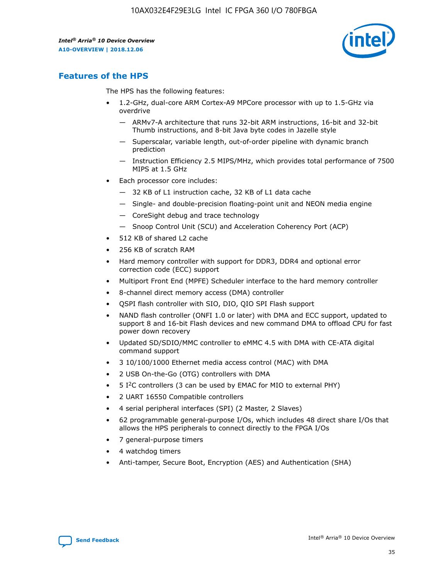

# **Features of the HPS**

The HPS has the following features:

- 1.2-GHz, dual-core ARM Cortex-A9 MPCore processor with up to 1.5-GHz via overdrive
	- ARMv7-A architecture that runs 32-bit ARM instructions, 16-bit and 32-bit Thumb instructions, and 8-bit Java byte codes in Jazelle style
	- Superscalar, variable length, out-of-order pipeline with dynamic branch prediction
	- Instruction Efficiency 2.5 MIPS/MHz, which provides total performance of 7500 MIPS at 1.5 GHz
- Each processor core includes:
	- 32 KB of L1 instruction cache, 32 KB of L1 data cache
	- Single- and double-precision floating-point unit and NEON media engine
	- CoreSight debug and trace technology
	- Snoop Control Unit (SCU) and Acceleration Coherency Port (ACP)
- 512 KB of shared L2 cache
- 256 KB of scratch RAM
- Hard memory controller with support for DDR3, DDR4 and optional error correction code (ECC) support
- Multiport Front End (MPFE) Scheduler interface to the hard memory controller
- 8-channel direct memory access (DMA) controller
- QSPI flash controller with SIO, DIO, QIO SPI Flash support
- NAND flash controller (ONFI 1.0 or later) with DMA and ECC support, updated to support 8 and 16-bit Flash devices and new command DMA to offload CPU for fast power down recovery
- Updated SD/SDIO/MMC controller to eMMC 4.5 with DMA with CE-ATA digital command support
- 3 10/100/1000 Ethernet media access control (MAC) with DMA
- 2 USB On-the-Go (OTG) controllers with DMA
- $\bullet$  5 I<sup>2</sup>C controllers (3 can be used by EMAC for MIO to external PHY)
- 2 UART 16550 Compatible controllers
- 4 serial peripheral interfaces (SPI) (2 Master, 2 Slaves)
- 62 programmable general-purpose I/Os, which includes 48 direct share I/Os that allows the HPS peripherals to connect directly to the FPGA I/Os
- 7 general-purpose timers
- 4 watchdog timers
- Anti-tamper, Secure Boot, Encryption (AES) and Authentication (SHA)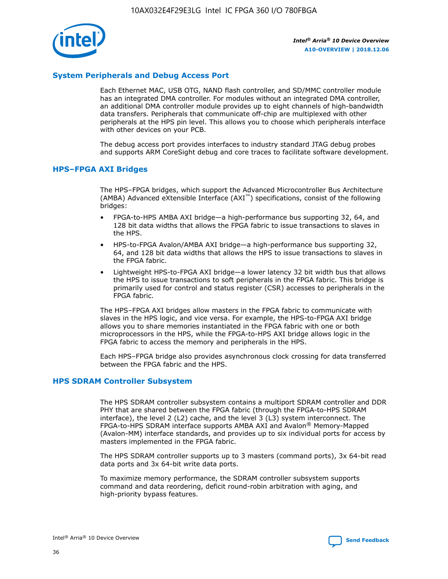

# **System Peripherals and Debug Access Port**

Each Ethernet MAC, USB OTG, NAND flash controller, and SD/MMC controller module has an integrated DMA controller. For modules without an integrated DMA controller, an additional DMA controller module provides up to eight channels of high-bandwidth data transfers. Peripherals that communicate off-chip are multiplexed with other peripherals at the HPS pin level. This allows you to choose which peripherals interface with other devices on your PCB.

The debug access port provides interfaces to industry standard JTAG debug probes and supports ARM CoreSight debug and core traces to facilitate software development.

## **HPS–FPGA AXI Bridges**

The HPS–FPGA bridges, which support the Advanced Microcontroller Bus Architecture (AMBA) Advanced eXtensible Interface (AXI™) specifications, consist of the following bridges:

- FPGA-to-HPS AMBA AXI bridge—a high-performance bus supporting 32, 64, and 128 bit data widths that allows the FPGA fabric to issue transactions to slaves in the HPS.
- HPS-to-FPGA Avalon/AMBA AXI bridge—a high-performance bus supporting 32, 64, and 128 bit data widths that allows the HPS to issue transactions to slaves in the FPGA fabric.
- Lightweight HPS-to-FPGA AXI bridge—a lower latency 32 bit width bus that allows the HPS to issue transactions to soft peripherals in the FPGA fabric. This bridge is primarily used for control and status register (CSR) accesses to peripherals in the FPGA fabric.

The HPS–FPGA AXI bridges allow masters in the FPGA fabric to communicate with slaves in the HPS logic, and vice versa. For example, the HPS-to-FPGA AXI bridge allows you to share memories instantiated in the FPGA fabric with one or both microprocessors in the HPS, while the FPGA-to-HPS AXI bridge allows logic in the FPGA fabric to access the memory and peripherals in the HPS.

Each HPS–FPGA bridge also provides asynchronous clock crossing for data transferred between the FPGA fabric and the HPS.

## **HPS SDRAM Controller Subsystem**

The HPS SDRAM controller subsystem contains a multiport SDRAM controller and DDR PHY that are shared between the FPGA fabric (through the FPGA-to-HPS SDRAM interface), the level 2 (L2) cache, and the level 3 (L3) system interconnect. The FPGA-to-HPS SDRAM interface supports AMBA AXI and Avalon® Memory-Mapped (Avalon-MM) interface standards, and provides up to six individual ports for access by masters implemented in the FPGA fabric.

The HPS SDRAM controller supports up to 3 masters (command ports), 3x 64-bit read data ports and 3x 64-bit write data ports.

To maximize memory performance, the SDRAM controller subsystem supports command and data reordering, deficit round-robin arbitration with aging, and high-priority bypass features.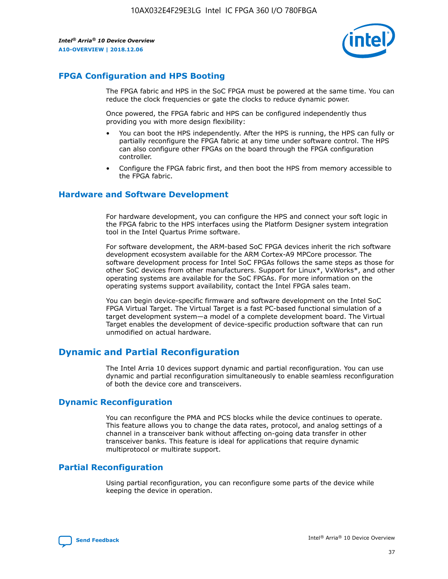

# **FPGA Configuration and HPS Booting**

The FPGA fabric and HPS in the SoC FPGA must be powered at the same time. You can reduce the clock frequencies or gate the clocks to reduce dynamic power.

Once powered, the FPGA fabric and HPS can be configured independently thus providing you with more design flexibility:

- You can boot the HPS independently. After the HPS is running, the HPS can fully or partially reconfigure the FPGA fabric at any time under software control. The HPS can also configure other FPGAs on the board through the FPGA configuration controller.
- Configure the FPGA fabric first, and then boot the HPS from memory accessible to the FPGA fabric.

## **Hardware and Software Development**

For hardware development, you can configure the HPS and connect your soft logic in the FPGA fabric to the HPS interfaces using the Platform Designer system integration tool in the Intel Quartus Prime software.

For software development, the ARM-based SoC FPGA devices inherit the rich software development ecosystem available for the ARM Cortex-A9 MPCore processor. The software development process for Intel SoC FPGAs follows the same steps as those for other SoC devices from other manufacturers. Support for Linux\*, VxWorks\*, and other operating systems are available for the SoC FPGAs. For more information on the operating systems support availability, contact the Intel FPGA sales team.

You can begin device-specific firmware and software development on the Intel SoC FPGA Virtual Target. The Virtual Target is a fast PC-based functional simulation of a target development system—a model of a complete development board. The Virtual Target enables the development of device-specific production software that can run unmodified on actual hardware.

# **Dynamic and Partial Reconfiguration**

The Intel Arria 10 devices support dynamic and partial reconfiguration. You can use dynamic and partial reconfiguration simultaneously to enable seamless reconfiguration of both the device core and transceivers.

# **Dynamic Reconfiguration**

You can reconfigure the PMA and PCS blocks while the device continues to operate. This feature allows you to change the data rates, protocol, and analog settings of a channel in a transceiver bank without affecting on-going data transfer in other transceiver banks. This feature is ideal for applications that require dynamic multiprotocol or multirate support.

# **Partial Reconfiguration**

Using partial reconfiguration, you can reconfigure some parts of the device while keeping the device in operation.

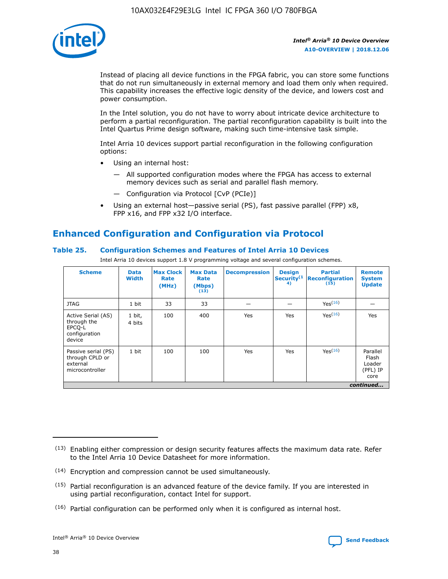

Instead of placing all device functions in the FPGA fabric, you can store some functions that do not run simultaneously in external memory and load them only when required. This capability increases the effective logic density of the device, and lowers cost and power consumption.

In the Intel solution, you do not have to worry about intricate device architecture to perform a partial reconfiguration. The partial reconfiguration capability is built into the Intel Quartus Prime design software, making such time-intensive task simple.

Intel Arria 10 devices support partial reconfiguration in the following configuration options:

- Using an internal host:
	- All supported configuration modes where the FPGA has access to external memory devices such as serial and parallel flash memory.
	- Configuration via Protocol [CvP (PCIe)]
- Using an external host—passive serial (PS), fast passive parallel (FPP) x8, FPP x16, and FPP x32 I/O interface.

# **Enhanced Configuration and Configuration via Protocol**

## **Table 25. Configuration Schemes and Features of Intel Arria 10 Devices**

Intel Arria 10 devices support 1.8 V programming voltage and several configuration schemes.

| <b>Scheme</b>                                                          | <b>Data</b><br><b>Width</b> | <b>Max Clock</b><br>Rate<br>(MHz) | <b>Max Data</b><br>Rate<br>(Mbps)<br>(13) | <b>Decompression</b> | <b>Design</b><br>Security <sup>(1</sup><br>4) | <b>Partial</b><br><b>Reconfiguration</b><br>(15) | <b>Remote</b><br><b>System</b><br><b>Update</b> |
|------------------------------------------------------------------------|-----------------------------|-----------------------------------|-------------------------------------------|----------------------|-----------------------------------------------|--------------------------------------------------|-------------------------------------------------|
| <b>JTAG</b>                                                            | 1 bit                       | 33                                | 33                                        |                      |                                               | Yes(16)                                          |                                                 |
| Active Serial (AS)<br>through the<br>EPCO-L<br>configuration<br>device | 1 bit,<br>4 bits            | 100                               | 400                                       | Yes                  | Yes                                           | $Y_{PS}(16)$                                     | Yes                                             |
| Passive serial (PS)<br>through CPLD or<br>external<br>microcontroller  | 1 bit                       | 100                               | 100                                       | Yes                  | Yes                                           | Yes(16)                                          | Parallel<br>Flash<br>Loader<br>(PFL) IP<br>core |
|                                                                        |                             |                                   |                                           |                      |                                               |                                                  | continued                                       |

<sup>(13)</sup> Enabling either compression or design security features affects the maximum data rate. Refer to the Intel Arria 10 Device Datasheet for more information.

<sup>(14)</sup> Encryption and compression cannot be used simultaneously.

 $<sup>(15)</sup>$  Partial reconfiguration is an advanced feature of the device family. If you are interested in</sup> using partial reconfiguration, contact Intel for support.

 $(16)$  Partial configuration can be performed only when it is configured as internal host.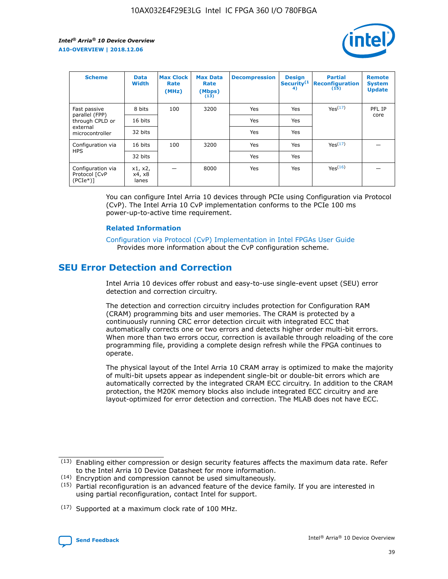

| <b>Scheme</b>                                    | <b>Data</b><br><b>Width</b> | <b>Max Clock</b><br>Rate<br>(MHz) | <b>Max Data</b><br>Rate<br>(Mbps)<br>(13) | <b>Decompression</b> | <b>Design</b><br>Security <sup>(1</sup><br>4) | <b>Partial</b><br><b>Reconfiguration</b><br>(15) | <b>Remote</b><br><b>System</b><br><b>Update</b> |
|--------------------------------------------------|-----------------------------|-----------------------------------|-------------------------------------------|----------------------|-----------------------------------------------|--------------------------------------------------|-------------------------------------------------|
| Fast passive                                     | 8 bits                      | 100                               | 3200                                      | <b>Yes</b>           | Yes                                           | Yes(17)                                          | PFL IP                                          |
| parallel (FPP)<br>through CPLD or                | 16 bits                     |                                   |                                           | Yes                  | Yes                                           |                                                  | core                                            |
| external<br>microcontroller                      | 32 bits                     |                                   |                                           | Yes                  | Yes                                           |                                                  |                                                 |
| Configuration via                                | 16 bits                     | 100                               | 3200                                      | Yes                  | Yes                                           | Yes <sup>(17)</sup>                              |                                                 |
| <b>HPS</b>                                       | 32 bits                     |                                   |                                           | Yes                  | Yes                                           |                                                  |                                                 |
| Configuration via<br>Protocol [CvP<br>$(PCIe^*)$ | x1, x2,<br>x4, x8<br>lanes  |                                   | 8000                                      | Yes                  | Yes                                           | Yes <sup>(16)</sup>                              |                                                 |

You can configure Intel Arria 10 devices through PCIe using Configuration via Protocol (CvP). The Intel Arria 10 CvP implementation conforms to the PCIe 100 ms power-up-to-active time requirement.

## **Related Information**

[Configuration via Protocol \(CvP\) Implementation in Intel FPGAs User Guide](https://www.intel.com/content/www/us/en/programmable/documentation/dsu1441819344145.html#dsu1442269728522) Provides more information about the CvP configuration scheme.

# **SEU Error Detection and Correction**

Intel Arria 10 devices offer robust and easy-to-use single-event upset (SEU) error detection and correction circuitry.

The detection and correction circuitry includes protection for Configuration RAM (CRAM) programming bits and user memories. The CRAM is protected by a continuously running CRC error detection circuit with integrated ECC that automatically corrects one or two errors and detects higher order multi-bit errors. When more than two errors occur, correction is available through reloading of the core programming file, providing a complete design refresh while the FPGA continues to operate.

The physical layout of the Intel Arria 10 CRAM array is optimized to make the majority of multi-bit upsets appear as independent single-bit or double-bit errors which are automatically corrected by the integrated CRAM ECC circuitry. In addition to the CRAM protection, the M20K memory blocks also include integrated ECC circuitry and are layout-optimized for error detection and correction. The MLAB does not have ECC.

(14) Encryption and compression cannot be used simultaneously.

<sup>(17)</sup> Supported at a maximum clock rate of 100 MHz.



 $(13)$  Enabling either compression or design security features affects the maximum data rate. Refer to the Intel Arria 10 Device Datasheet for more information.

 $(15)$  Partial reconfiguration is an advanced feature of the device family. If you are interested in using partial reconfiguration, contact Intel for support.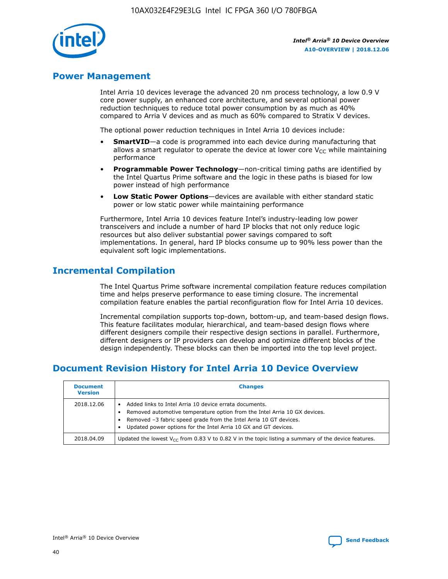

# **Power Management**

Intel Arria 10 devices leverage the advanced 20 nm process technology, a low 0.9 V core power supply, an enhanced core architecture, and several optional power reduction techniques to reduce total power consumption by as much as 40% compared to Arria V devices and as much as 60% compared to Stratix V devices.

The optional power reduction techniques in Intel Arria 10 devices include:

- **SmartVID**—a code is programmed into each device during manufacturing that allows a smart regulator to operate the device at lower core  $V_{CC}$  while maintaining performance
- **Programmable Power Technology**—non-critical timing paths are identified by the Intel Quartus Prime software and the logic in these paths is biased for low power instead of high performance
- **Low Static Power Options**—devices are available with either standard static power or low static power while maintaining performance

Furthermore, Intel Arria 10 devices feature Intel's industry-leading low power transceivers and include a number of hard IP blocks that not only reduce logic resources but also deliver substantial power savings compared to soft implementations. In general, hard IP blocks consume up to 90% less power than the equivalent soft logic implementations.

# **Incremental Compilation**

The Intel Quartus Prime software incremental compilation feature reduces compilation time and helps preserve performance to ease timing closure. The incremental compilation feature enables the partial reconfiguration flow for Intel Arria 10 devices.

Incremental compilation supports top-down, bottom-up, and team-based design flows. This feature facilitates modular, hierarchical, and team-based design flows where different designers compile their respective design sections in parallel. Furthermore, different designers or IP providers can develop and optimize different blocks of the design independently. These blocks can then be imported into the top level project.

# **Document Revision History for Intel Arria 10 Device Overview**

| <b>Document</b><br><b>Version</b> | <b>Changes</b>                                                                                                                                                                                                                                                              |
|-----------------------------------|-----------------------------------------------------------------------------------------------------------------------------------------------------------------------------------------------------------------------------------------------------------------------------|
| 2018.12.06                        | Added links to Intel Arria 10 device errata documents.<br>Removed automotive temperature option from the Intel Arria 10 GX devices.<br>Removed -3 fabric speed grade from the Intel Arria 10 GT devices.<br>Updated power options for the Intel Arria 10 GX and GT devices. |
| 2018.04.09                        | Updated the lowest $V_{CC}$ from 0.83 V to 0.82 V in the topic listing a summary of the device features.                                                                                                                                                                    |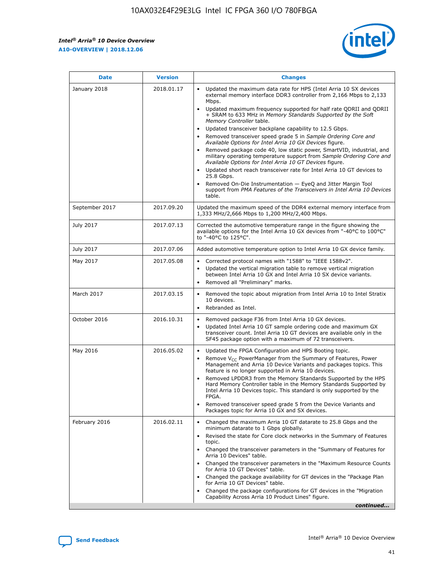$\overline{\phantom{a}}$ 

 $\mathsf{r}$ 



| January 2018<br>Updated the maximum data rate for HPS (Intel Arria 10 SX devices<br>2018.01.17<br>external memory interface DDR3 controller from 2,166 Mbps to 2,133<br>Mbps.<br>$\bullet$<br>+ SRAM to 633 MHz in Memory Standards Supported by the Soft<br>Memory Controller table.<br>Updated transceiver backplane capability to 12.5 Gbps.<br>$\bullet$<br>Removed transceiver speed grade 5 in Sample Ordering Core and<br>Available Options for Intel Arria 10 GX Devices figure.<br>Available Options for Intel Arria 10 GT Devices figure.<br>Updated short reach transceiver rate for Intel Arria 10 GT devices to<br>$\bullet$<br>25.8 Gbps.<br>Removed On-Die Instrumentation - EyeQ and Jitter Margin Tool<br>table.<br>2017.09.20<br>September 2017<br>1,333 MHz/2,666 Mbps to 1,200 MHz/2,400 Mbps.<br>July 2017<br>2017.07.13<br>Corrected the automotive temperature range in the figure showing the<br>available options for the Intel Arria 10 GX devices from "-40°C to 100°C"<br>to "-40°C to 125°C".<br>July 2017<br>2017.07.06<br>Added automotive temperature option to Intel Arria 10 GX device family.<br>2017.05.08<br>Corrected protocol names with "1588" to "IEEE 1588v2".<br>May 2017<br>$\bullet$<br>Updated the vertical migration table to remove vertical migration<br>$\bullet$<br>between Intel Arria 10 GX and Intel Arria 10 SX device variants.<br>Removed all "Preliminary" marks.<br>2017.03.15<br>March 2017<br>Removed the topic about migration from Intel Arria 10 to Intel Stratix<br>10 devices.<br>Rebranded as Intel.<br>$\bullet$<br>October 2016<br>2016.10.31<br>Removed package F36 from Intel Arria 10 GX devices.<br>$\bullet$<br>Updated Intel Arria 10 GT sample ordering code and maximum GX<br>$\bullet$<br>transceiver count. Intel Arria 10 GT devices are available only in the<br>SF45 package option with a maximum of 72 transceivers.<br>May 2016<br>2016.05.02<br>Updated the FPGA Configuration and HPS Booting topic.<br>Remove $V_{CC}$ PowerManager from the Summary of Features, Power<br>Management and Arria 10 Device Variants and packages topics. This<br>feature is no longer supported in Arria 10 devices.<br>Removed LPDDR3 from the Memory Standards Supported by the HPS<br>Hard Memory Controller table in the Memory Standards Supported by<br>Intel Arria 10 Devices topic. This standard is only supported by the<br>FPGA.<br>Removed transceiver speed grade 5 from the Device Variants and<br>Packages topic for Arria 10 GX and SX devices.<br>Changed the maximum Arria 10 GT datarate to 25.8 Gbps and the<br>February 2016<br>2016.02.11<br>minimum datarate to 1 Gbps globally.<br>Revised the state for Core clock networks in the Summary of Features<br>$\bullet$<br>topic.<br>• Changed the transceiver parameters in the "Summary of Features for<br>Arria 10 Devices" table.<br>for Arria 10 GT Devices" table.<br>• Changed the package availability for GT devices in the "Package Plan<br>for Arria 10 GT Devices" table.<br>Changed the package configurations for GT devices in the "Migration"<br>Capability Across Arria 10 Product Lines" figure. | <b>Date</b> | <b>Version</b> | <b>Changes</b>                                                                                                                                                                                                                                                                               |
|----------------------------------------------------------------------------------------------------------------------------------------------------------------------------------------------------------------------------------------------------------------------------------------------------------------------------------------------------------------------------------------------------------------------------------------------------------------------------------------------------------------------------------------------------------------------------------------------------------------------------------------------------------------------------------------------------------------------------------------------------------------------------------------------------------------------------------------------------------------------------------------------------------------------------------------------------------------------------------------------------------------------------------------------------------------------------------------------------------------------------------------------------------------------------------------------------------------------------------------------------------------------------------------------------------------------------------------------------------------------------------------------------------------------------------------------------------------------------------------------------------------------------------------------------------------------------------------------------------------------------------------------------------------------------------------------------------------------------------------------------------------------------------------------------------------------------------------------------------------------------------------------------------------------------------------------------------------------------------------------------------------------------------------------------------------------------------------------------------------------------------------------------------------------------------------------------------------------------------------------------------------------------------------------------------------------------------------------------------------------------------------------------------------------------------------------------------------------------------------------------------------------------------------------------------------------------------------------------------------------------------------------------------------------------------------------------------------------------------------------------------------------------------------------------------------------------------------------------------------------------------------------------------------------------------------------------------------------------------------------------------------------------------------------------------------------------------------------------------------------------------------------------------------|-------------|----------------|----------------------------------------------------------------------------------------------------------------------------------------------------------------------------------------------------------------------------------------------------------------------------------------------|
|                                                                                                                                                                                                                                                                                                                                                                                                                                                                                                                                                                                                                                                                                                                                                                                                                                                                                                                                                                                                                                                                                                                                                                                                                                                                                                                                                                                                                                                                                                                                                                                                                                                                                                                                                                                                                                                                                                                                                                                                                                                                                                                                                                                                                                                                                                                                                                                                                                                                                                                                                                                                                                                                                                                                                                                                                                                                                                                                                                                                                                                                                                                                                                |             |                | Updated maximum frequency supported for half rate QDRII and QDRII<br>Removed package code 40, low static power, SmartVID, industrial, and<br>military operating temperature support from Sample Ordering Core and<br>support from PMA Features of the Transceivers in Intel Arria 10 Devices |
|                                                                                                                                                                                                                                                                                                                                                                                                                                                                                                                                                                                                                                                                                                                                                                                                                                                                                                                                                                                                                                                                                                                                                                                                                                                                                                                                                                                                                                                                                                                                                                                                                                                                                                                                                                                                                                                                                                                                                                                                                                                                                                                                                                                                                                                                                                                                                                                                                                                                                                                                                                                                                                                                                                                                                                                                                                                                                                                                                                                                                                                                                                                                                                |             |                | Updated the maximum speed of the DDR4 external memory interface from                                                                                                                                                                                                                         |
|                                                                                                                                                                                                                                                                                                                                                                                                                                                                                                                                                                                                                                                                                                                                                                                                                                                                                                                                                                                                                                                                                                                                                                                                                                                                                                                                                                                                                                                                                                                                                                                                                                                                                                                                                                                                                                                                                                                                                                                                                                                                                                                                                                                                                                                                                                                                                                                                                                                                                                                                                                                                                                                                                                                                                                                                                                                                                                                                                                                                                                                                                                                                                                |             |                |                                                                                                                                                                                                                                                                                              |
|                                                                                                                                                                                                                                                                                                                                                                                                                                                                                                                                                                                                                                                                                                                                                                                                                                                                                                                                                                                                                                                                                                                                                                                                                                                                                                                                                                                                                                                                                                                                                                                                                                                                                                                                                                                                                                                                                                                                                                                                                                                                                                                                                                                                                                                                                                                                                                                                                                                                                                                                                                                                                                                                                                                                                                                                                                                                                                                                                                                                                                                                                                                                                                |             |                |                                                                                                                                                                                                                                                                                              |
|                                                                                                                                                                                                                                                                                                                                                                                                                                                                                                                                                                                                                                                                                                                                                                                                                                                                                                                                                                                                                                                                                                                                                                                                                                                                                                                                                                                                                                                                                                                                                                                                                                                                                                                                                                                                                                                                                                                                                                                                                                                                                                                                                                                                                                                                                                                                                                                                                                                                                                                                                                                                                                                                                                                                                                                                                                                                                                                                                                                                                                                                                                                                                                |             |                |                                                                                                                                                                                                                                                                                              |
|                                                                                                                                                                                                                                                                                                                                                                                                                                                                                                                                                                                                                                                                                                                                                                                                                                                                                                                                                                                                                                                                                                                                                                                                                                                                                                                                                                                                                                                                                                                                                                                                                                                                                                                                                                                                                                                                                                                                                                                                                                                                                                                                                                                                                                                                                                                                                                                                                                                                                                                                                                                                                                                                                                                                                                                                                                                                                                                                                                                                                                                                                                                                                                |             |                |                                                                                                                                                                                                                                                                                              |
|                                                                                                                                                                                                                                                                                                                                                                                                                                                                                                                                                                                                                                                                                                                                                                                                                                                                                                                                                                                                                                                                                                                                                                                                                                                                                                                                                                                                                                                                                                                                                                                                                                                                                                                                                                                                                                                                                                                                                                                                                                                                                                                                                                                                                                                                                                                                                                                                                                                                                                                                                                                                                                                                                                                                                                                                                                                                                                                                                                                                                                                                                                                                                                |             |                |                                                                                                                                                                                                                                                                                              |
|                                                                                                                                                                                                                                                                                                                                                                                                                                                                                                                                                                                                                                                                                                                                                                                                                                                                                                                                                                                                                                                                                                                                                                                                                                                                                                                                                                                                                                                                                                                                                                                                                                                                                                                                                                                                                                                                                                                                                                                                                                                                                                                                                                                                                                                                                                                                                                                                                                                                                                                                                                                                                                                                                                                                                                                                                                                                                                                                                                                                                                                                                                                                                                |             |                |                                                                                                                                                                                                                                                                                              |
|                                                                                                                                                                                                                                                                                                                                                                                                                                                                                                                                                                                                                                                                                                                                                                                                                                                                                                                                                                                                                                                                                                                                                                                                                                                                                                                                                                                                                                                                                                                                                                                                                                                                                                                                                                                                                                                                                                                                                                                                                                                                                                                                                                                                                                                                                                                                                                                                                                                                                                                                                                                                                                                                                                                                                                                                                                                                                                                                                                                                                                                                                                                                                                |             |                | Changed the transceiver parameters in the "Maximum Resource Counts"<br>continued                                                                                                                                                                                                             |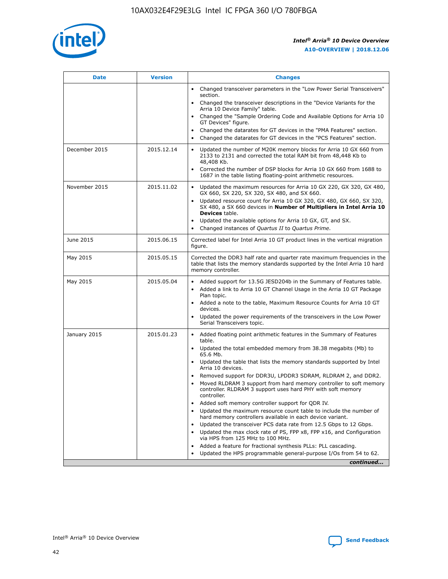

| <b>Date</b>   | <b>Version</b> | <b>Changes</b>                                                                                                                                                               |
|---------------|----------------|------------------------------------------------------------------------------------------------------------------------------------------------------------------------------|
|               |                | • Changed transceiver parameters in the "Low Power Serial Transceivers"<br>section.                                                                                          |
|               |                | Changed the transceiver descriptions in the "Device Variants for the<br>Arria 10 Device Family" table.                                                                       |
|               |                | Changed the "Sample Ordering Code and Available Options for Arria 10<br>GT Devices" figure.                                                                                  |
|               |                | Changed the datarates for GT devices in the "PMA Features" section.                                                                                                          |
|               |                | Changed the datarates for GT devices in the "PCS Features" section.                                                                                                          |
| December 2015 | 2015.12.14     | Updated the number of M20K memory blocks for Arria 10 GX 660 from<br>2133 to 2131 and corrected the total RAM bit from 48,448 Kb to<br>48,408 Kb.                            |
|               |                | Corrected the number of DSP blocks for Arria 10 GX 660 from 1688 to<br>$\bullet$<br>1687 in the table listing floating-point arithmetic resources.                           |
| November 2015 | 2015.11.02     | Updated the maximum resources for Arria 10 GX 220, GX 320, GX 480,<br>GX 660, SX 220, SX 320, SX 480, and SX 660.                                                            |
|               |                | • Updated resource count for Arria 10 GX 320, GX 480, GX 660, SX 320,<br>SX 480, a SX 660 devices in Number of Multipliers in Intel Arria 10<br><b>Devices</b> table.        |
|               |                | Updated the available options for Arria 10 GX, GT, and SX.                                                                                                                   |
|               |                | Changed instances of Quartus II to Quartus Prime.<br>$\bullet$                                                                                                               |
| June 2015     | 2015.06.15     | Corrected label for Intel Arria 10 GT product lines in the vertical migration<br>figure.                                                                                     |
| May 2015      | 2015.05.15     | Corrected the DDR3 half rate and quarter rate maximum frequencies in the<br>table that lists the memory standards supported by the Intel Arria 10 hard<br>memory controller. |
| May 2015      | 2015.05.04     | • Added support for 13.5G JESD204b in the Summary of Features table.<br>Added a link to Arria 10 GT Channel Usage in the Arria 10 GT Package<br>$\bullet$<br>Plan topic.     |
|               |                | • Added a note to the table, Maximum Resource Counts for Arria 10 GT<br>devices.                                                                                             |
|               |                | • Updated the power requirements of the transceivers in the Low Power<br>Serial Transceivers topic.                                                                          |
| January 2015  | 2015.01.23     | • Added floating point arithmetic features in the Summary of Features<br>table.                                                                                              |
|               |                | • Updated the total embedded memory from 38.38 megabits (Mb) to<br>65.6 Mb.                                                                                                  |
|               |                | • Updated the table that lists the memory standards supported by Intel<br>Arria 10 devices.                                                                                  |
|               |                | Removed support for DDR3U, LPDDR3 SDRAM, RLDRAM 2, and DDR2.                                                                                                                 |
|               |                | Moved RLDRAM 3 support from hard memory controller to soft memory<br>controller. RLDRAM 3 support uses hard PHY with soft memory<br>controller.                              |
|               |                | Added soft memory controller support for QDR IV.<br>$\bullet$                                                                                                                |
|               |                | Updated the maximum resource count table to include the number of<br>$\bullet$<br>hard memory controllers available in each device variant.                                  |
|               |                | Updated the transceiver PCS data rate from 12.5 Gbps to 12 Gbps.<br>$\bullet$                                                                                                |
|               |                | Updated the max clock rate of PS, FPP x8, FPP x16, and Configuration<br>via HPS from 125 MHz to 100 MHz.                                                                     |
|               |                | Added a feature for fractional synthesis PLLs: PLL cascading.<br>$\bullet$                                                                                                   |
|               |                | Updated the HPS programmable general-purpose I/Os from 54 to 62.                                                                                                             |
|               |                | continued                                                                                                                                                                    |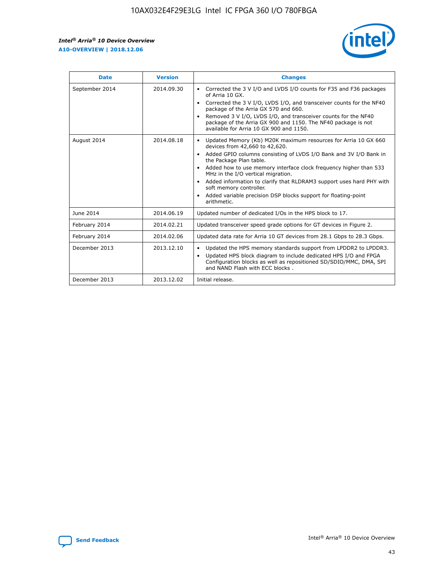r



| <b>Date</b>    | <b>Version</b> | <b>Changes</b>                                                                                                                                                                                                                                                                                                                                                                                                                                                                                                                         |
|----------------|----------------|----------------------------------------------------------------------------------------------------------------------------------------------------------------------------------------------------------------------------------------------------------------------------------------------------------------------------------------------------------------------------------------------------------------------------------------------------------------------------------------------------------------------------------------|
| September 2014 | 2014.09.30     | Corrected the 3 V I/O and LVDS I/O counts for F35 and F36 packages<br>of Arria 10 GX.<br>Corrected the 3 V I/O, LVDS I/O, and transceiver counts for the NF40<br>package of the Arria GX 570 and 660.<br>Removed 3 V I/O, LVDS I/O, and transceiver counts for the NF40<br>package of the Arria GX 900 and 1150. The NF40 package is not<br>available for Arria 10 GX 900 and 1150.                                                                                                                                                    |
| August 2014    | 2014.08.18     | Updated Memory (Kb) M20K maximum resources for Arria 10 GX 660<br>devices from 42,660 to 42,620.<br>Added GPIO columns consisting of LVDS I/O Bank and 3V I/O Bank in<br>$\bullet$<br>the Package Plan table.<br>Added how to use memory interface clock frequency higher than 533<br>$\bullet$<br>MHz in the I/O vertical migration.<br>Added information to clarify that RLDRAM3 support uses hard PHY with<br>$\bullet$<br>soft memory controller.<br>Added variable precision DSP blocks support for floating-point<br>arithmetic. |
| June 2014      | 2014.06.19     | Updated number of dedicated I/Os in the HPS block to 17.                                                                                                                                                                                                                                                                                                                                                                                                                                                                               |
| February 2014  | 2014.02.21     | Updated transceiver speed grade options for GT devices in Figure 2.                                                                                                                                                                                                                                                                                                                                                                                                                                                                    |
| February 2014  | 2014.02.06     | Updated data rate for Arria 10 GT devices from 28.1 Gbps to 28.3 Gbps.                                                                                                                                                                                                                                                                                                                                                                                                                                                                 |
| December 2013  | 2013.12.10     | Updated the HPS memory standards support from LPDDR2 to LPDDR3.<br>Updated HPS block diagram to include dedicated HPS I/O and FPGA<br>$\bullet$<br>Configuration blocks as well as repositioned SD/SDIO/MMC, DMA, SPI<br>and NAND Flash with ECC blocks.                                                                                                                                                                                                                                                                               |
| December 2013  | 2013.12.02     | Initial release.                                                                                                                                                                                                                                                                                                                                                                                                                                                                                                                       |